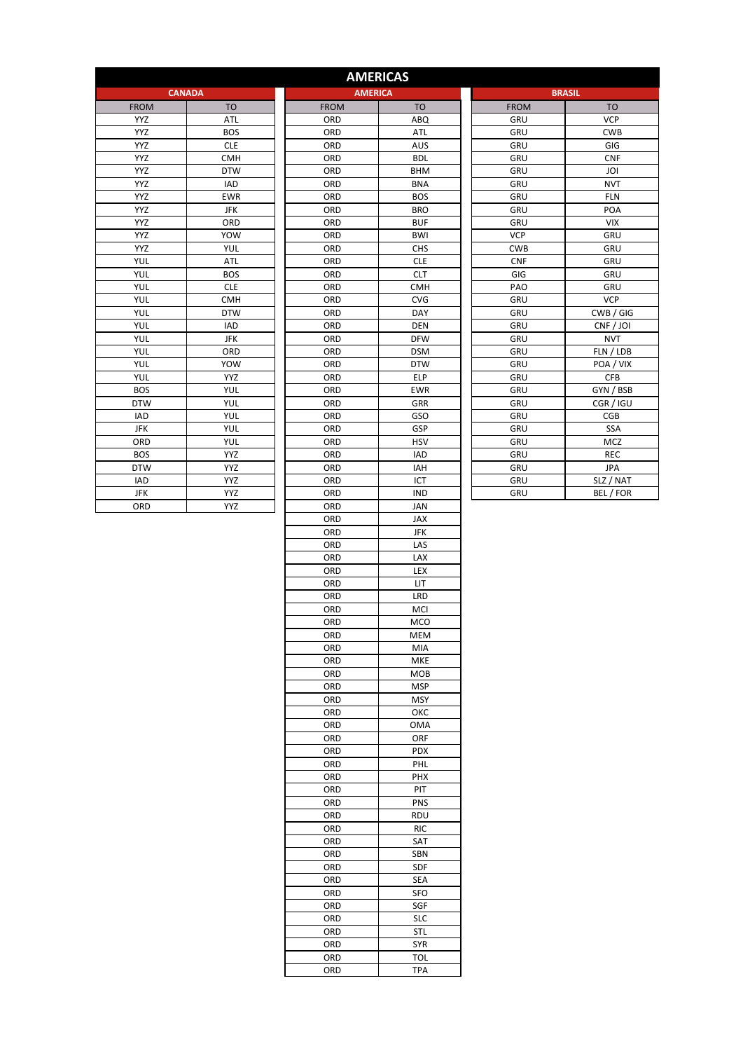|             |                |             | <b>AMERICAS</b> |               |                |
|-------------|----------------|-------------|-----------------|---------------|----------------|
|             | <b>CANADA</b>  |             | <b>AMERICA</b>  | <b>BRASIL</b> |                |
| <b>FROM</b> | T <sub>O</sub> | <b>FROM</b> | T <sub>O</sub>  | <b>FROM</b>   | T <sub>O</sub> |
| <b>YYZ</b>  | ATL            | ORD         | ABQ             | <b>GRU</b>    | <b>VCP</b>     |
| <b>YYZ</b>  | <b>BOS</b>     | ORD         | ATL             | GRU           | <b>CWB</b>     |
| <b>YYZ</b>  | <b>CLE</b>     | ORD         | AUS             | GRU           | GIG            |
| <b>YYZ</b>  | <b>CMH</b>     | ORD         | <b>BDL</b>      | GRU           | <b>CNF</b>     |
| <b>YYZ</b>  | <b>DTW</b>     | ORD         | <b>BHM</b>      | GRU           | JOI            |
| <b>YYZ</b>  | <b>IAD</b>     | ORD         | <b>BNA</b>      | GRU           | <b>NVT</b>     |
| <b>YYZ</b>  | <b>EWR</b>     | ORD         | <b>BOS</b>      | GRU           | <b>FLN</b>     |
| <b>YYZ</b>  | <b>JFK</b>     | ORD         | <b>BRO</b>      | GRU           | POA            |
| <b>YYZ</b>  | ORD            | ORD         | <b>BUF</b>      | GRU           | <b>VIX</b>     |
| <b>YYZ</b>  | YOW            | ORD         | <b>BWI</b>      | <b>VCP</b>    | GRU            |
| <b>YYZ</b>  | YUL            | ORD         | CHS             | <b>CWB</b>    | GRU            |
| YUL         | <b>ATL</b>     | ORD         | <b>CLE</b>      | <b>CNF</b>    | GRU            |
| YUL         | <b>BOS</b>     | ORD         | <b>CLT</b>      | GIG           | GRU            |
| YUL         | <b>CLE</b>     | ORD         | <b>CMH</b>      | PAO           | GRU            |
| <b>YUL</b>  | <b>CMH</b>     | ORD         | <b>CVG</b>      | GRU           | <b>VCP</b>     |
| YUL         | <b>DTW</b>     | ORD         | DAY             | GRU           | CWB / GIG      |
| YUL         | <b>IAD</b>     | ORD         | <b>DEN</b>      | GRU           | CNF / JOI      |
| YUL         | <b>JFK</b>     | ORD         | <b>DFW</b>      | GRU           | <b>NVT</b>     |
| <b>YUL</b>  | ORD            | ORD         | <b>DSM</b>      | GRU           | FLN / LDB      |
| YUL         | YOW            | ORD         | <b>DTW</b>      | GRU           | POA / VIX      |
| <b>YUL</b>  | <b>YYZ</b>     | ORD         | <b>ELP</b>      | GRU           | <b>CFB</b>     |
| <b>BOS</b>  | YUL            | ORD         | <b>EWR</b>      | <b>GRU</b>    | GYN / BSB      |
| <b>DTW</b>  | <b>YUL</b>     | ORD         | GRR             | GRU           | CGR / IGU      |
| <b>IAD</b>  | YUL            | ORD         | GSO             | GRU           | <b>CGB</b>     |
| <b>JFK</b>  | YUL            | ORD         | GSP             | GRU           | SSA            |
| ORD         | YUL            | ORD         | <b>HSV</b>      | GRU           | MCZ            |
| <b>BOS</b>  | YYZ            | ORD         | IAD             | GRU           | <b>REC</b>     |
| <b>DTW</b>  | <b>YYZ</b>     | ORD         | IAH             | GRU           | <b>JPA</b>     |
| IAD         | YYZ            | ORD         | ICT             | GRU           | SLZ / NAT      |
| <b>JFK</b>  | <b>YYZ</b>     | ORD         | <b>IND</b>      | GRU           | BEL / FOR      |
| ORD         | YYZ            | ORD         | JAN             |               |                |
|             |                | ORD         | JAX             |               |                |
|             |                | ORD         | <b>JFK</b>      |               |                |
|             |                | ORD         | LAS             |               |                |
|             |                | ORD         | LAX             |               |                |
|             |                | $\sim$      | $F_{\text{L}}$  |               |                |

| <b>BRASIL</b> |                |  |  |
|---------------|----------------|--|--|
| <b>FROM</b>   | T <sub>O</sub> |  |  |
| <b>GRU</b>    | <b>VCP</b>     |  |  |
| GRU           | <b>CWB</b>     |  |  |
| GRU           | GIG            |  |  |
| GRU           | <b>CNF</b>     |  |  |
| GRU           | JOI            |  |  |
| GRU           | <b>NVT</b>     |  |  |
| GRU           | <b>FLN</b>     |  |  |
| GRU           | POA            |  |  |
| GRU           | <b>VIX</b>     |  |  |
| <b>VCP</b>    | GRU            |  |  |
| <b>CWB</b>    | GRU            |  |  |
| <b>CNF</b>    | GRU            |  |  |
| GIG           | GRU            |  |  |
| PAO           | GRU            |  |  |
| GRU           | <b>VCP</b>     |  |  |
| GRU           | CWB / GIG      |  |  |
| GRU           | CNF / JOI      |  |  |
| GRU           | <b>NVT</b>     |  |  |
| GRU           | FLN / LDB      |  |  |
| GRU           | POA / VIX      |  |  |
| GRU           | <b>CFB</b>     |  |  |
| GRU           | GYN / BSB      |  |  |
| GRU           | CGR / IGU      |  |  |
| GRU           | <b>CGB</b>     |  |  |
| GRU           | SSA            |  |  |
| GRU           | <b>MCZ</b>     |  |  |
| GRU           | <b>REC</b>     |  |  |
| GRU           | JPA            |  |  |
| GRU           | SLZ / NAT      |  |  |
| GRU           | BEL / FOR      |  |  |

| ORD | IND        |
|-----|------------|
| ORD | JAN        |
| ORD | <b>JAX</b> |
| ORD | <b>JFK</b> |
| ORD | LAS        |
| ORD | LAX        |
| ORD | LEX        |
| ORD | LIT        |
| ORD | LRD        |
| ORD | MCI        |
| ORD | <b>MCO</b> |
| ORD | MEM        |
| ORD | MIA        |
| ORD | MKE        |
| ORD | мов        |
| ORD | MSP        |
| ORD | <b>MSY</b> |
| ORD | ОКС        |
| ORD | OMA        |
| ORD | ORF        |
| ORD | PDX        |
| ORD | PHL        |
| ORD | PHX        |
| ORD | PIT        |
| ORD | PNS        |
| ORD | <b>RDU</b> |
| ORD | RIC        |
| ORD | SAT        |
| ORD | SBN        |
| ORD | SDF        |
| ORD | SEA        |
| ORD | SFO        |
| ORD | SGF        |
| ORD | SLC        |
| ORD | STL        |
| ORD | <b>SYR</b> |
| ORD | TOL        |
| ORD | TPA        |
|     |            |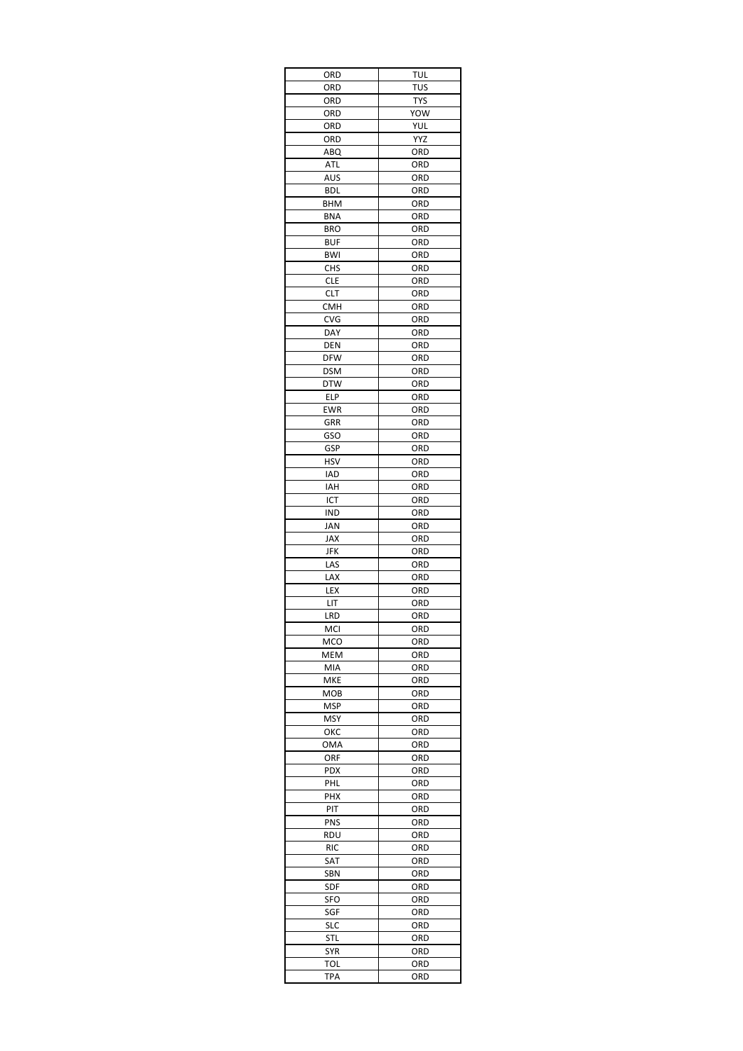| ORD                      | TUL        |
|--------------------------|------------|
| ORD                      | TUS        |
| ORD                      | TYS        |
| ORD                      | YOW        |
| ORD                      | YUL        |
| ORD                      | YYZ        |
| ABQ                      | ord        |
| ATL                      | ORD        |
| AUS                      | ORD        |
| BDL                      | ORD        |
| BHM                      | ORD        |
| <b>BNA</b>               | ORD        |
| <b>BRO</b>               | ORD        |
| <b>BUF</b><br><b>BWI</b> | ORD<br>ORD |
| <b>CHS</b>               | ORD        |
| <b>CLE</b>               | ORD        |
| CLT                      | ORD        |
| <b>CMH</b>               | ORD        |
| CVG                      | ORD        |
| DAY                      | ORD        |
| DEN                      | ORD        |
| <b>DFW</b>               | ORD        |
| <b>DSM</b>               | ORD        |
| <b>DTW</b>               | ORD        |
| ELP                      | ORD        |
| EWR                      | ORD        |
| GRR                      | ORD        |
| GSO                      | ORD        |
| GSP                      | ORD        |
| <b>HSV</b>               | ORD        |
| IAD                      | ORD        |
| IAH                      | ORD        |
| ICT                      | ORD        |
| IND                      | ORD        |
| JAN                      | ORD        |
| JAX                      | ORD        |
| JFK                      | ORD        |
| LAS                      | ORD        |
| LAX                      | ORD        |
| LEX                      | ORD        |
| LIT                      | ORD        |
| LRD                      | ORD        |
| MCI                      | ORD        |
| MCO                      | ORD        |
| MEM                      | ORD        |
| MIA                      | ORD        |
| MKE                      | ORD        |
| мов                      | ORD        |
| MSP                      | ORD        |
| MSY                      | ORD        |
| ОКС                      | ORD        |
| OMA                      | ORD        |
| ORF                      | ORD        |
| PDX                      | ORD        |
| PHL                      | ORD        |
| <b>PHX</b>               | ORD        |
| PIT                      | ORD        |
| PNS                      | ORD        |
| RDU                      | ORD        |
| RIC                      | ORD        |
| SAT                      | ORD        |
| <b>SBN</b>               | ORD        |
| <b>SDF</b>               | ORD        |
| SFO                      | ORD        |
| SGF                      | ORD        |
| <b>SLC</b>               | ORD        |
| STL                      | ORD        |
| SYR                      | ORD        |
| TOL                      | ORD        |
| TPA                      | ORD        |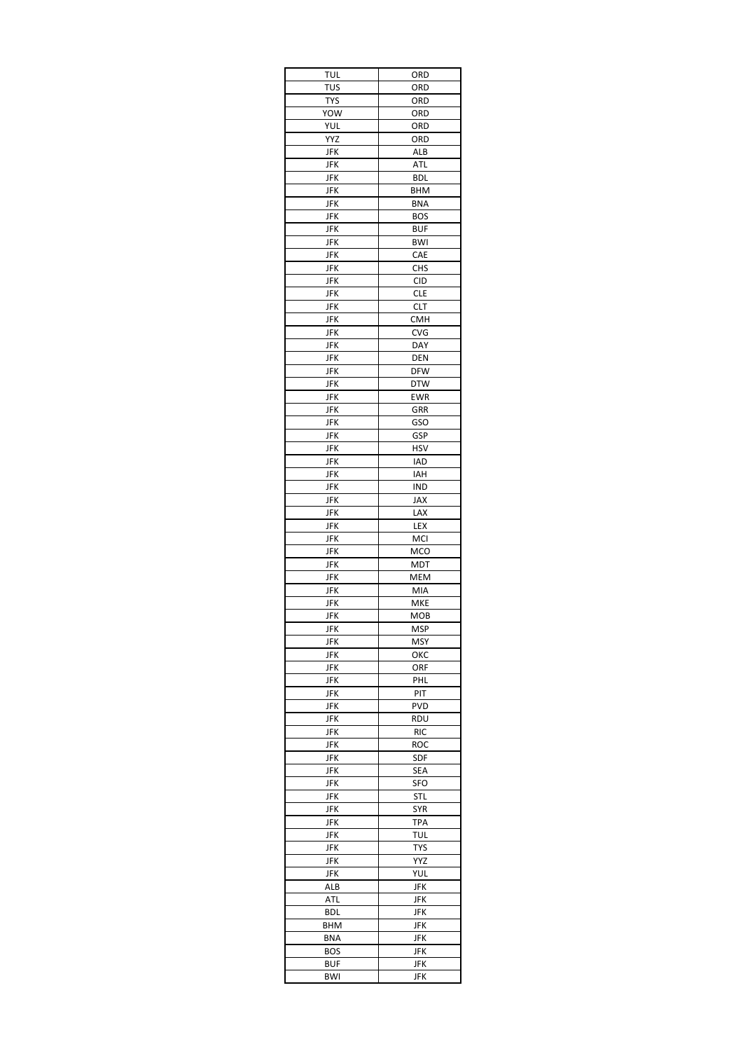| <b>TUL</b>        | ORD               |
|-------------------|-------------------|
| <b>TUS</b>        | ORD               |
| <b>TYS</b>        | ORD               |
| YOW               | ORD               |
| YUL               | ORD               |
| YYZ               | ORD               |
| <b>JFK</b>        | ALB               |
| JFK               | ATL               |
| JFK               | <b>BDL</b>        |
| JFK               | <b>BHM</b>        |
| JFK               | <b>BNA</b>        |
| JFK               | <b>BOS</b>        |
| JFK               | <b>BUF</b>        |
| JFK               | <b>BWI</b>        |
| JFK               | CAE               |
| JFK               | <b>CHS</b>        |
| <b>JFK</b>        | <b>CID</b>        |
| <b>JFK</b>        | <b>CLE</b>        |
| JFK               | CLT               |
| JFK<br><b>JFK</b> | <b>CMH</b>        |
|                   | <b>CVG</b>        |
| <b>JFK</b><br>JFK | <b>DAY</b><br>DEN |
| <b>JFK</b>        | <b>DFW</b>        |
| JFK               | <b>DTW</b>        |
| JFK               | <b>EWR</b>        |
| JFK               | GRR               |
| JFK               | GSO               |
| JFK               | GSP               |
| JFK               | <b>HSV</b>        |
| <b>JFK</b>        | IAD               |
| JFK               | IAH               |
| JFK               | IND               |
| JFK               | JAX               |
| JFK               | LAX               |
| <b>JFK</b>        | LEX               |
| JFK               | MCI               |
| JFK               | MCO               |
| JFK               | MDT               |
| JFK               | MEM               |
| JFK               | MIA               |
| <b>JFK</b>        | MKE               |
| JFK               | мов               |
| <b>JFK</b>        | MSP               |
| <b>JFK</b>        | MSY               |
| JFK               | ОКС               |
| JFK               | orf               |
| JFK               | PHL               |
| <b>JFK</b>        | PIT               |
| JFK               | PVD               |
| JFK               | RDU               |
| JFK               | <b>RIC</b>        |
| JFK               | ROC               |
| JFK               | SDF               |
| JFK               | SEA               |
| JFK               | SFO               |
| JFK               | STL               |
| JFK               | SYR               |
| JFK               | TPA               |
| JFK               | <b>TUL</b>        |
| JFK               | <b>TYS</b>        |
| JFK               | YYZ               |
| JFK               | YUL               |
| ALB               | JFK               |
| ATL               | JFK               |
| BDL               | JFK               |
| BHM               | JFK               |
| BNA               | JFK               |
| <b>BOS</b>        | JFK               |
|                   |                   |
| BUF<br>BWI        | JFK<br>JFK        |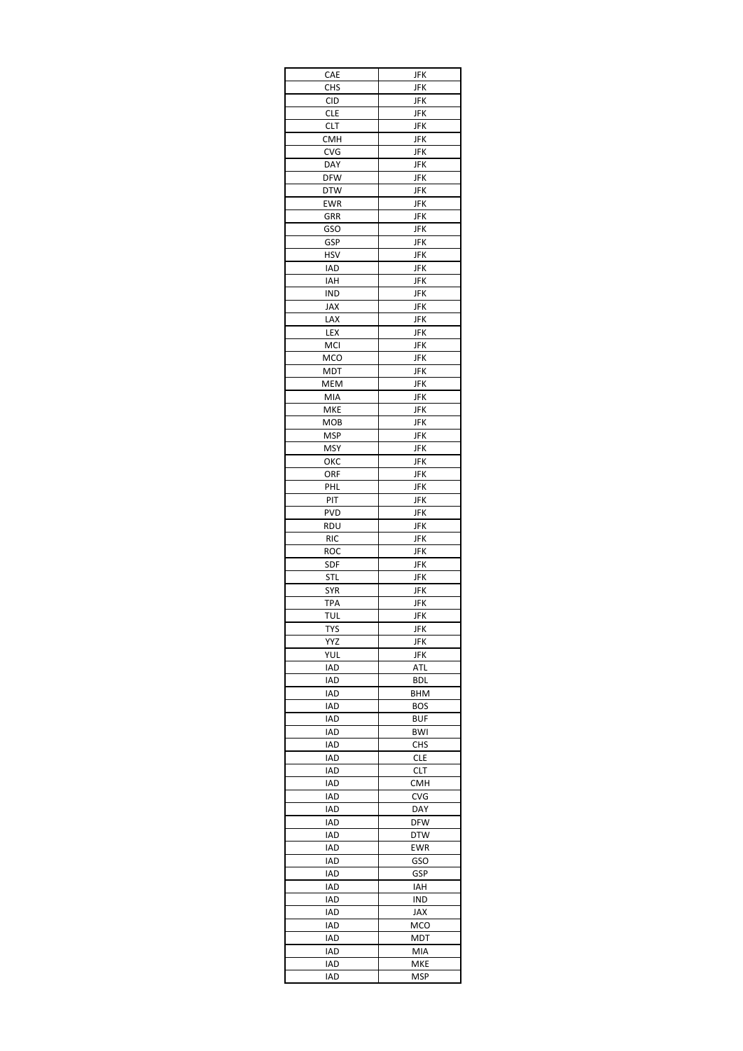| CAE        | JFK        |
|------------|------------|
| <b>CHS</b> | JFK        |
| <b>CID</b> | JFK        |
| CLE        | JFK        |
| <b>CLT</b> | JFK        |
| СМН        | JFK        |
| <b>CVG</b> | JFK        |
| DAY        | JFK        |
| <b>DFW</b> | JFK        |
| <b>DTW</b> | JFK        |
| EWR        | JFK        |
| GRR        | <b>JFK</b> |
| GSO        | JFK        |
| GSP        | JFK        |
| HSV        | JFK        |
| IAD        | JFK        |
| IAH        | JFK        |
| IND        | JFK        |
| <b>JAX</b> | JFK        |
| LAX        | JFK        |
| LEX        | JFK        |
| MCI        | JFK        |
| <b>MCO</b> | JFK        |
| MDT        | JFK        |
| <b>MEM</b> | JFK        |
| MIA        | JFK        |
| MKE        | JFK        |
| мов        | JFK        |
| MSP        | JFK        |
| <b>MSY</b> | JFK        |
| ОКС        | JFK        |
| ORF        | JFK        |
| PHL        | JFK        |
| PIT        |            |
|            | JFK        |
| <b>PVD</b> | JFK        |
| rdu        | JFK        |
| <b>RIC</b> | JFK        |
| roc        | JFK        |
| SDF        | JFK        |
| STL        | JFK        |
| SYR        | JFK        |
| <b>TPA</b> | JFK        |
| TUL        | JFK        |
| TYS        | <b>JFK</b> |
| YYZ        | JFK        |
| YUL        | <b>JFK</b> |
| IAD        | ATL        |
| IAD        | BDL        |
| IAD        | BHM        |
| IAD        | <b>BOS</b> |
| IAD        | <b>BUF</b> |
| IAD        | <b>BWI</b> |
| IAD        | <b>CHS</b> |
| IAD        | <b>CLE</b> |
| IAD        | <b>CLT</b> |
| <b>IAD</b> | СМН        |
| IAD        | <b>CVG</b> |
| IAD        | DAY        |
| IAD        | <b>DFW</b> |
| IAD        | <b>DTW</b> |
| IAD        | EWR        |
| IAD        | GSO        |
| <b>IAD</b> | GSP        |
| IAD        | IAH        |
| IAD        | IND        |
| IAD        | JAX        |
| IAD        | MCO        |
| IAD        | MDT        |
| IAD        | MIA        |
| IAD        | MKE        |
| IAD        | MSP        |
|            |            |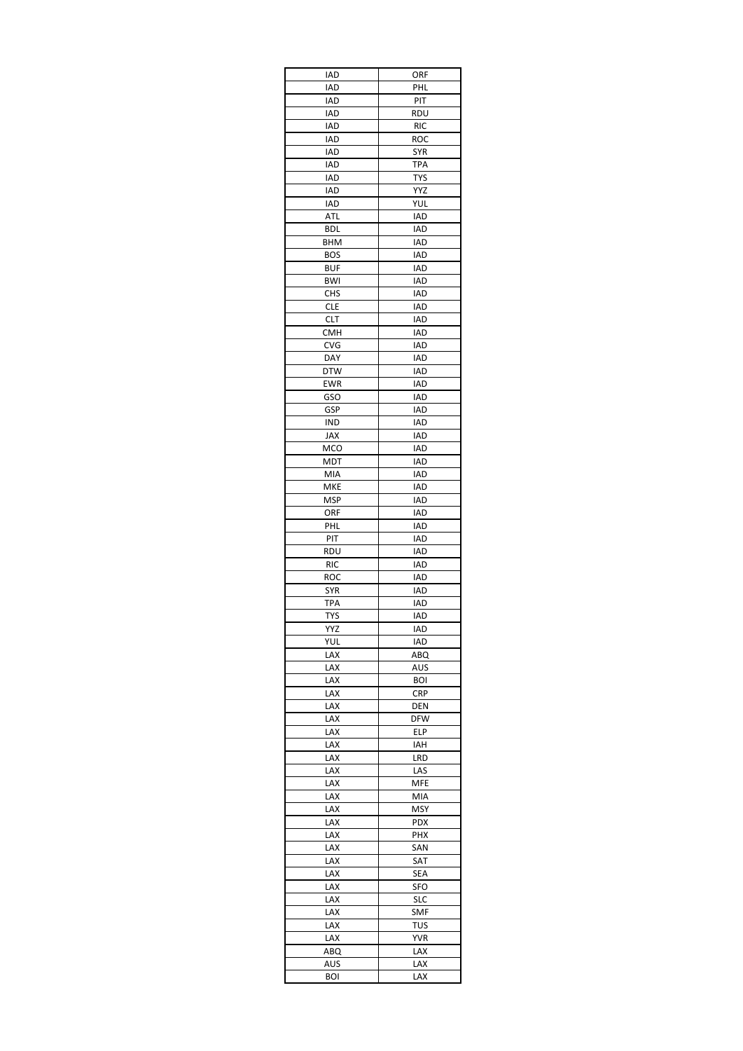| IAD        | ORF        |
|------------|------------|
| IAD        | PHL        |
| IAD        | PIT        |
| IAD        | RDU        |
| IAD        | <b>RIC</b> |
| IAD        | ROC        |
| IAD        | SYR        |
| IAD        | TPA        |
| IAD        | <b>TYS</b> |
| IAD        | <b>YYZ</b> |
| IAD        | YUL        |
| ATL        | IAD        |
| BDL        | <b>IAD</b> |
| BHM        | IAD        |
| BOS        | IAD        |
| BUF        | IAD        |
| BWI        | IAD        |
| CHS        | IAD        |
| <b>CLE</b> | IAD        |
| CLT        | IAD        |
| CMH        | IAD        |
| CVG        | IAD        |
| DAY        | <b>IAD</b> |
| <b>DTW</b> | IAD        |
| EWR        | IAD        |
| GSO        | IAD        |
| GSP        | <b>IAD</b> |
| IND        | IAD        |
| JAX        | IAD        |
| <b>MCO</b> | IAD        |
| MDT        | IAD        |
| MIA        | IAD        |
| MKE        | IAD        |
| MSP        | IAD        |
| orf        | IAD        |
| <b>PHL</b> | IAD        |
| PIT        | IAD        |
| rdu        | <b>IAD</b> |
| <b>RIC</b> | IAD        |
| roc        | IAD        |
| SYR        | IAD        |
| TPA        | <b>IAD</b> |
| TYS        | IAD        |
| YYZ        | <b>IAD</b> |
| YUL        | IAD        |
| LAX        | ABQ        |
| LAX        | AUS        |
| LAX        | <b>BOI</b> |
| LAX        | <b>CRP</b> |
| LAX        | DEN        |
| LAX        | <b>DFW</b> |
| LAX        | ELP        |
| lax        | IAH        |
| LAX        | LRD        |
| LAX        | LAS        |
| LAX        | MFE        |
| LAX        | MIA        |
| LAX        | MSY        |
| LAX        | PDX        |
| LAX        | PHX        |
| LAX        | SAN        |
| lax<br>LAX | SAT        |
|            | SEA        |
| lax        | <b>SFO</b> |
| LAX        | <b>SLC</b> |
| lax        | SMF        |
| LAX        | TUS        |
| LAX        | <b>YVR</b> |
| ABQ        | LAX        |
| AUS        | LAX        |
| BOI        | LAX        |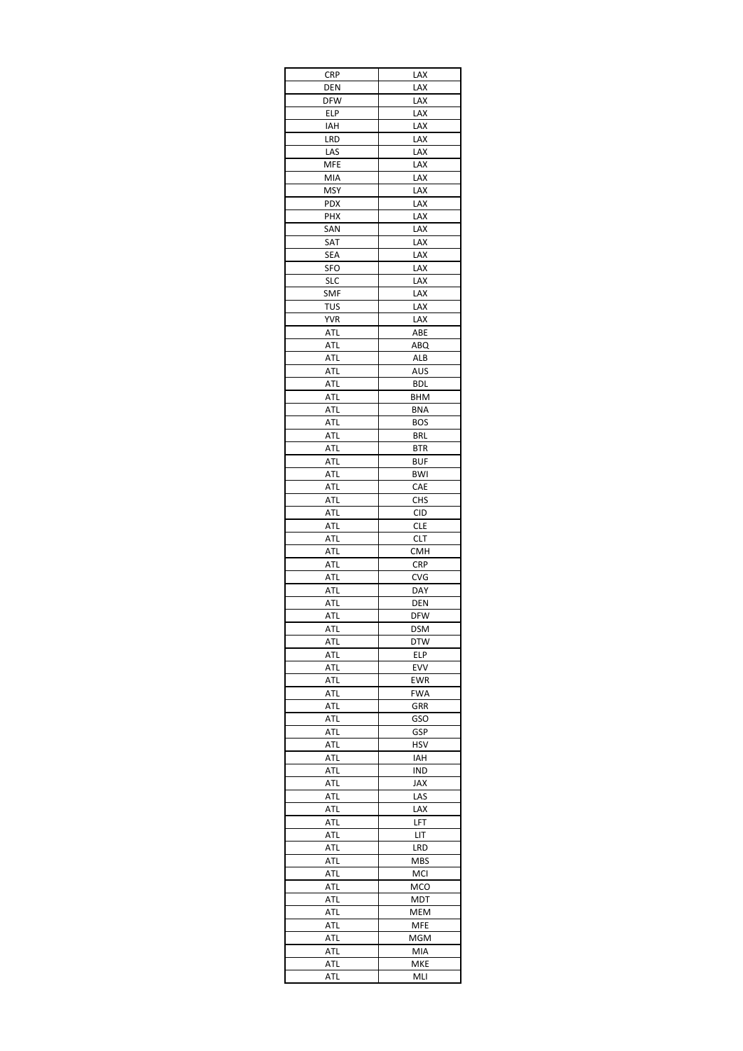| <b>CRP</b>        | LAX               |
|-------------------|-------------------|
| DEN               | LAX               |
| <b>DFW</b>        | LAX               |
| ELP               | LAX               |
| IAH               | LAX               |
| LRD               | LAX               |
| LAS               | lax               |
| MFE               | LAX               |
| MIA<br><b>MSY</b> | LAX<br>LAX        |
| PDX               | LAX               |
| PHX               | LAX               |
| SAN               | LAX               |
| SAT               | LAX               |
| SEA               | LAX               |
| SFO               | LAX               |
| <b>SLC</b>        | LAX               |
| SMF               | LAX               |
| TUS               | LAX               |
| <b>YVR</b>        | LAX               |
| ATL               | ABE               |
| ATL               | ABQ               |
| ATL               | ALB               |
| <b>ATL</b>        | AUS               |
| ATL               | <b>BDL</b>        |
| ATL               | BHM               |
| ATL               | BNA               |
| ATL<br>ATL        | <b>BOS</b><br>BRL |
|                   |                   |
| ATL<br>ATL        | BTR<br><b>BUF</b> |
| ATL               | BWI               |
| ATL               | CAE               |
| ATL               | <b>CHS</b>        |
| ATL               | <b>CID</b>        |
| ATL               | CLE               |
| ATL               | CLT               |
| ATL               | <b>CMH</b>        |
| ATL               | <b>CRP</b>        |
| ATL               | CVG               |
| ATL               | DAY               |
| ATL               | DEN               |
| ATL               | DFW               |
| ATL               | <b>DSM</b>        |
| ATL               | <b>DTW</b>        |
| ATL               | ELP               |
| ATL               | EVV               |
| ATL               | EWR               |
| ATL               | <b>FWA</b>        |
| ATL               | GRR               |
| ATL<br>ATL        | GSO<br>GSP        |
| ATL               | <b>HSV</b>        |
| ATL               | IAH               |
| ATL               | IND               |
| ATL               | <b>JAX</b>        |
| ATL               | LAS               |
| ATL               | LAX               |
| ATL               | LFT               |
| ATL               | LIT               |
| ATL               | LRD               |
| ATL               | <b>MBS</b>        |
| ATL               | MCI               |
| ATL               | MCO               |
| ATL               | MDT               |
| ATL               | MEM               |
| ATL               | MFE               |
| <b>ATL</b>        | MGM               |
| ATL               | MIA               |
| ATL               | MKE               |
| ATL               | MLI               |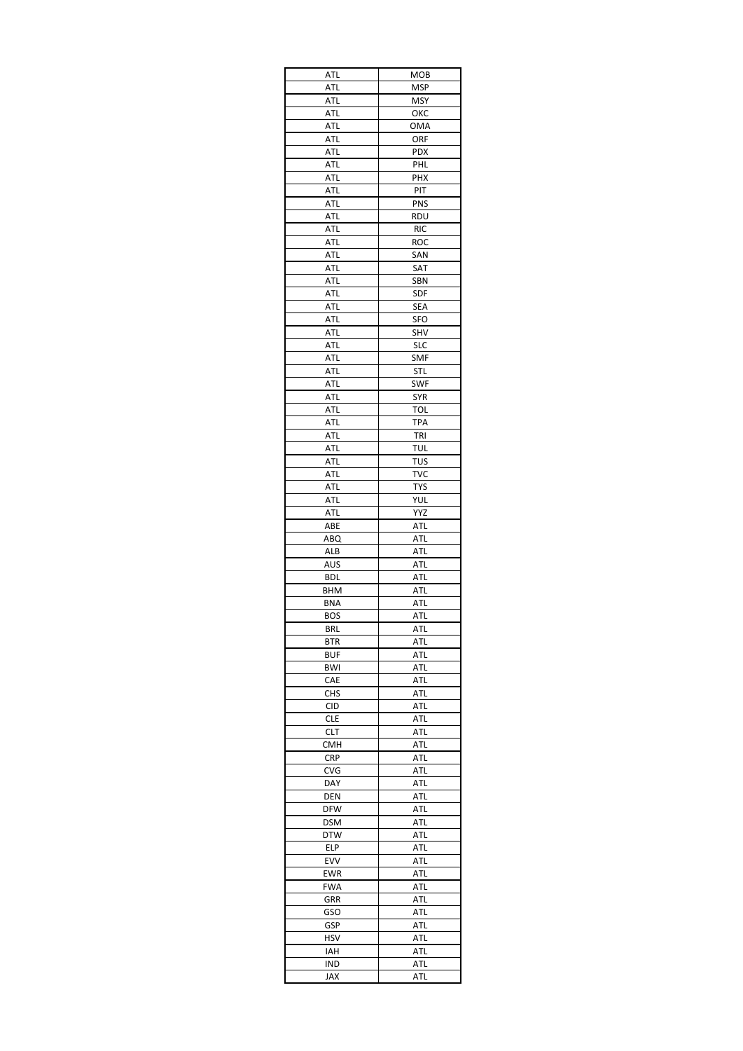| ATL                      | MOB               |
|--------------------------|-------------------|
| ATL                      | MSP               |
| ATL                      | <b>MSY</b>        |
| ATL                      | ОКС               |
| ATL                      | OMA               |
| ATL                      | ORF               |
| ATL                      | <b>PDX</b>        |
| ATL                      | PHL<br>PHX        |
| ATL<br>ATL               | PIT               |
| ATL                      | PNS               |
| ATL                      | rdu               |
| ATL                      | <b>RIC</b>        |
| ATL                      | ROC               |
| ATL                      | SAN               |
| ATL                      | SAT               |
| ATL                      | SBN               |
| ATL                      | SDF               |
| ATL                      | SEA               |
| ATL                      | <b>SFO</b>        |
| ATL                      | SHV               |
| ATL                      | <b>SLC</b>        |
| ATL                      | <b>SMF</b>        |
| ATL                      | <b>STL</b>        |
| ATL                      | SWF               |
| ATL                      | <b>SYR</b>        |
| ATL                      | <b>TOL</b>        |
| <b>ATL</b><br>ATL        | TPA<br>TRI        |
|                          |                   |
| ATL<br>ATL               | TUL<br><b>TUS</b> |
| ATL                      | TVC               |
| ATL                      | <b>TYS</b>        |
| ATL                      | <b>YUL</b>        |
| ATL                      | YYZ               |
| ABE                      | ATL               |
| ABQ                      | ATL               |
| ALB                      | ATL               |
| AUS                      | ATL               |
| BDL                      | ATL               |
| BHM                      | ATL               |
| <b>BNA</b>               | ATL               |
| <b>BOS</b>               | ATL               |
| <b>BRL</b>               | ATL               |
| BTR                      | ATL               |
| <b>BUF</b>               | ATL               |
| BWI                      | <b>ATL</b>        |
| CAE                      | ATL               |
| <b>CHS</b>               | <b>ATL</b>        |
| <b>CID</b>               | ATL               |
| <b>CLE</b>               | ATL               |
| <b>CLT</b><br><b>CMH</b> | ATL<br>ATL        |
| <b>CRP</b>               | ATL               |
| CVG                      | ATL               |
| DAY                      | ATL               |
| DEN                      | ATL               |
| DFW                      | ATL               |
| DSM                      | ATL               |
| DTW                      | ATL               |
| ELP                      | ATL               |
| <b>EVV</b>               | ATL               |
| EWR                      | <b>ATL</b>        |
| <b>FWA</b>               | <b>ATL</b>        |
| GRR                      | ATL               |
| GSO                      | ATL               |
| GSP                      | ATL               |
| HSV                      | ATL               |
| IAH                      | ATL               |
| IND                      | ATL               |
| <b>JAX</b>               | ATL               |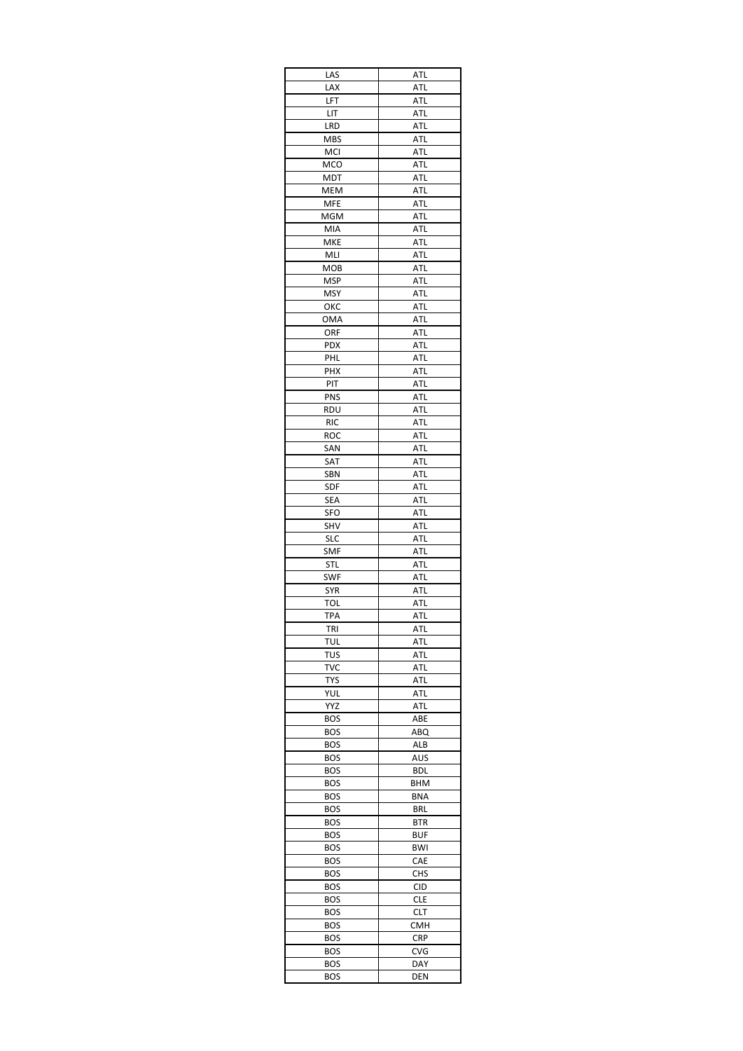| LAS        | ATL        |
|------------|------------|
| LAX        | <b>ATL</b> |
| LFT        | ATL        |
| LIT        | ATL        |
| LRD        | <b>ATL</b> |
| <b>MBS</b> | ATL        |
| MCI        | ATL        |
| MCO        | ATL        |
| <b>MDT</b> | ATL        |
| MEM        | ATL        |
| MFE        | ATL        |
| <b>MGM</b> | ATL        |
| MIA        | ATL        |
| MKE        | ATL        |
| MLI        | ATL        |
| <b>MOB</b> | ATL        |
| MSP        | ATL        |
| MSY        | ATL        |
| ОКС        | ATL        |
| OMA        | ATL        |
| ORF        | ATL        |
| PDX        | ATL        |
| PHL        | ATL        |
| PHX        | ATL        |
| PIT        | ATL        |
| PNS        | ATL        |
| rdu        | ATL        |
| <b>RIC</b> | ATL        |
| roc        | ATL        |
| SAN        | ATL        |
| SAT        | ATL        |
| SBN        | ATL        |
| SDF        | ATL        |
| <b>SEA</b> | ATL        |
| <b>SFO</b> | ATL        |
| SHV        | ATL        |
| <b>SLC</b> | ATL        |
| SMF        | ATL        |
| STL        | ATL        |
| SWF        | ATL        |
| <b>SYR</b> | ATL        |
| TOL        | <b>ATL</b> |
| TPA        | ATL        |
| tri        | <b>ATL</b> |
| TUL        | ATL        |
| TUS        | ATL        |
| TVC        | ATL        |
| TYS        | ATL        |
| YUL        | ATL        |
| YYZ        | ATL        |
| BOS        | ABE        |
| <b>BOS</b> | ABQ        |
| <b>BOS</b> | ALB        |
| BOS        | AUS        |
| <b>BOS</b> | BDL        |
| BOS        | BHM        |
| <b>BOS</b> | <b>BNA</b> |
| <b>BOS</b> | <b>BRL</b> |
| <b>BOS</b> | BTR        |
| <b>BOS</b> | BUF        |
| <b>BOS</b> | BWI        |
| <b>BOS</b> | CAE        |
| <b>BOS</b> | <b>CHS</b> |
| BOS        | CID        |
| <b>BOS</b> | <b>CLE</b> |
| <b>BOS</b> | CLT        |
| <b>BOS</b> | <b>CMH</b> |
| <b>BOS</b> | <b>CRP</b> |
| <b>BOS</b> | CVG        |
| <b>BOS</b> | DAY        |
|            | DEN        |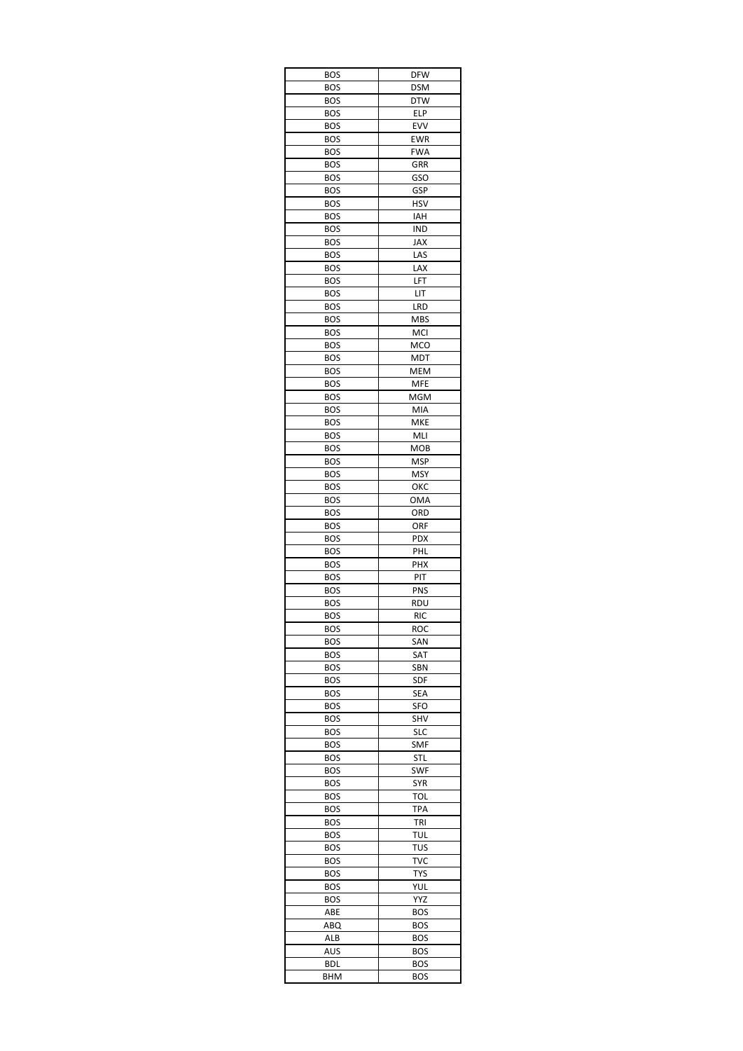| <b>BOS</b>        | <b>DFW</b>        |
|-------------------|-------------------|
| BOS               | <b>DSM</b>        |
| <b>BOS</b>        | <b>DTW</b>        |
| BOS               | ELP               |
| <b>BOS</b>        | EVV               |
| <b>BOS</b>        | <b>EWR</b>        |
| <b>BOS</b><br>BOS | <b>FWA</b><br>GRR |
| <b>BOS</b>        | <b>GSO</b>        |
| <b>BOS</b>        | GSP               |
| BOS               | HSV               |
| <b>BOS</b>        | IAH               |
| BOS               | IND               |
| <b>BOS</b>        | JAX               |
| <b>BOS</b>        | LAS               |
| <b>BOS</b>        | LAX               |
| <b>BOS</b>        | LFT               |
| <b>BOS</b>        | LIT               |
| BOS               | LRD               |
| BOS               | <b>MBS</b>        |
| <b>BOS</b>        | MCI               |
| BOS<br><b>BOS</b> | MCO               |
| <b>BOS</b>        | MDT<br><b>MEM</b> |
| <b>BOS</b>        | <b>MFE</b>        |
| <b>BOS</b>        | MGM               |
| <b>BOS</b>        | MIA               |
| <b>BOS</b>        | <b>MKE</b>        |
| BOS               | MLI               |
| BOS               | <b>MOB</b>        |
| <b>BOS</b>        | <b>MSP</b>        |
| <b>BOS</b>        | <b>MSY</b>        |
| BOS               | ОКС               |
| <b>BOS</b>        | <b>OMA</b>        |
| <b>BOS</b>        | ORD               |
| BOS               | orf               |
| BOS               | <b>PDX</b>        |
| <b>BOS</b>        | PHL               |
| <b>BOS</b>        | PHX               |
| BOS<br><b>BOS</b> | PIT<br>PNS        |
| <b>BOS</b>        | RDU               |
| BOS               | <b>RIC</b>        |
| <b>BOS</b>        | ROC               |
| BOS               | SAN               |
| BOS               | SAT               |
| BOS               | SBN               |
| <b>BOS</b>        | SDF               |
| BOS               | SEA               |
| BOS               | SFO               |
| BOS               | SHV               |
| <b>BOS</b>        | SLC               |
| BOS               | <b>SMF</b>        |
| BOS               | STL               |
| BOS               | SWF               |
| BOS               | <b>SYR</b>        |
| <b>BOS</b>        | <b>TOL</b>        |
| BOS<br><b>BOS</b> | <b>TPA</b><br>tri |
| BOS               | TUL               |
| BOS               | TUS               |
| BOS               | TVC               |
| BOS               | <b>TYS</b>        |
| BOS               | YUL               |
| <b>BOS</b>        | YYZ               |
| ABE               | <b>BOS</b>        |
| ABQ               | <b>BOS</b>        |
| ALB               | <b>BOS</b>        |
| AUS               | <b>BOS</b>        |
| BDL               | <b>BOS</b>        |
| BHM               | BOS               |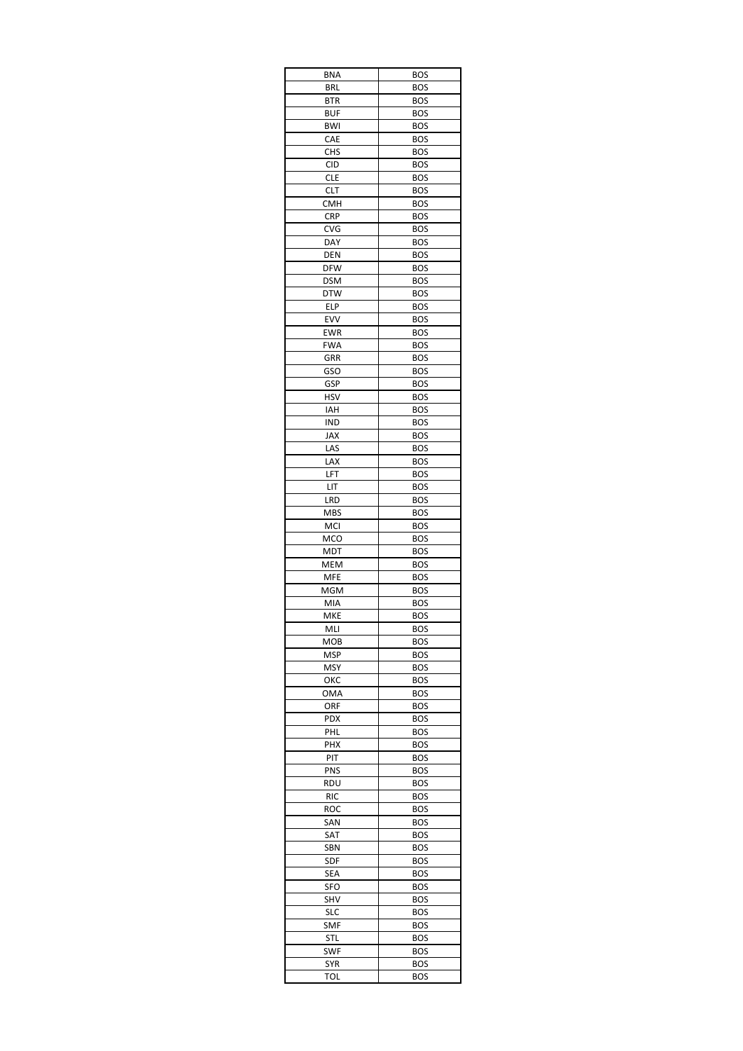| BNA               | <b>BOS</b>               |
|-------------------|--------------------------|
| BRL               | <b>BOS</b>               |
| BTR               | <b>BOS</b>               |
| BUF               | <b>BOS</b>               |
| BWI               | <b>BOS</b>               |
| CAE               | <b>BOS</b>               |
| <b>CHS</b>        | <b>BOS</b>               |
| CID               | <b>BOS</b>               |
| <b>CLE</b>        | <b>BOS</b>               |
| CLT               | <b>BOS</b>               |
| CMH               | <b>BOS</b>               |
| <b>CRP</b>        | <b>BOS</b>               |
| <b>CVG</b>        | <b>BOS</b>               |
| DAY               | <b>BOS</b>               |
| DEN<br><b>DFW</b> | <b>BOS</b>               |
|                   | <b>BOS</b><br><b>BOS</b> |
| <b>DSM</b>        |                          |
| <b>DTW</b><br>ELP | <b>BOS</b><br><b>BOS</b> |
| EVV               | <b>BOS</b>               |
| EWR               | <b>BOS</b>               |
| <b>FWA</b>        |                          |
| GRR               | <b>BOS</b><br><b>BOS</b> |
| GSO               | <b>BOS</b>               |
| GSP               | <b>BOS</b>               |
| HSV               | <b>BOS</b>               |
| IAH               | <b>BOS</b>               |
| IND               | <b>BOS</b>               |
| JAX               | <b>BOS</b>               |
| LAS               | <b>BOS</b>               |
| LAX               | <b>BOS</b>               |
| LFT               | <b>BOS</b>               |
| LIT               | <b>BOS</b>               |
| LRD               | <b>BOS</b>               |
| MBS               | <b>BOS</b>               |
| MCI               | <b>BOS</b>               |
| MCO               | <b>BOS</b>               |
| MDT               | <b>BOS</b>               |
| <b>MEM</b>        | <b>BOS</b>               |
| <b>MFE</b>        | <b>BOS</b>               |
| MGM               | <b>BOS</b>               |
| MIA               | <b>BOS</b>               |
| MKE               | BOS                      |
| MLI               | <b>BOS</b>               |
| мов               | <b>BOS</b>               |
| MSP               | <b>BOS</b>               |
| MSY               | BOS                      |
| ОКС               | <b>BOS</b>               |
| OMA               | <b>BOS</b>               |
| orf               | <b>BOS</b>               |
| <b>PDX</b>        | <b>BOS</b>               |
| PHL               | <b>BOS</b>               |
| PHX               | <b>BOS</b>               |
| PIT               | BOS                      |
| <b>PNS</b>        | <b>BOS</b>               |
| rdu               | <b>BOS</b>               |
| <b>RIC</b>        | <b>BOS</b>               |
| roc               | <b>BOS</b>               |
| SAN               | <b>BOS</b>               |
| SAT               | <b>BOS</b>               |
| SBN               | BOS                      |
| SDF               | <b>BOS</b>               |
| SEA               | <b>BOS</b>               |
| SFO               | BOS                      |
| SHV               | <b>BOS</b>               |
| SLC               | <b>BOS</b>               |
| SMF               | <b>BOS</b>               |
| <b>STL</b>        | BOS                      |
| SWF               | BOS                      |
| <b>SYR</b>        | <b>BOS</b>               |
| TOL               | <b>BOS</b>               |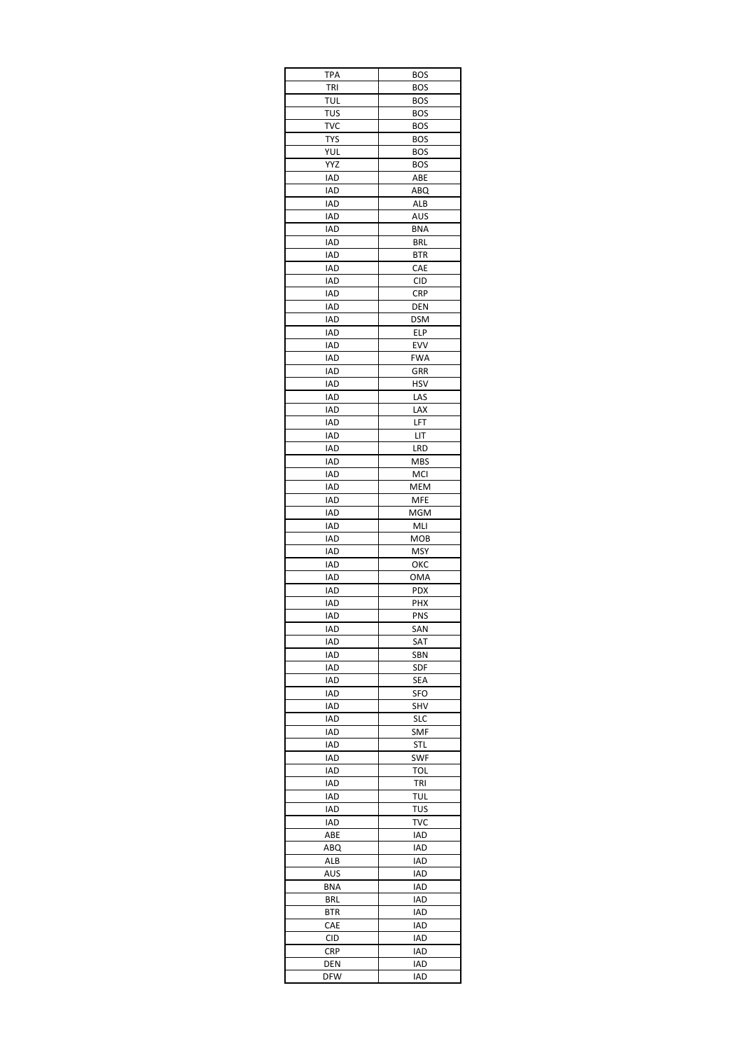| TPA               | <b>BOS</b> |
|-------------------|------------|
| TRI               | <b>BOS</b> |
| tul               | BOS        |
| TUS               | BOS        |
| TVC               | <b>BOS</b> |
| <b>TYS</b>        | <b>BOS</b> |
| YUL               | <b>BOS</b> |
| YYZ               | <b>BOS</b> |
| IAD               | ABE        |
| IAD               | ABQ        |
| IAD               | ALB        |
| IAD               | AUS        |
| IAD               | <b>BNA</b> |
| IAD               | <b>BRL</b> |
| IAD<br>IAD        | BTR<br>CAE |
| IAD               | <b>CID</b> |
| IAD               | CRP        |
| IAD               | DEN        |
| IAD               | <b>DSM</b> |
| IAD               | ELP        |
| IAD               | EVV        |
| <b>IAD</b>        | FWA        |
| IAD               | GRR        |
| IAD               | HSV        |
| IAD               | LAS        |
| IAD               | LAX        |
| <b>IAD</b>        | LFT        |
| IAD               | LIT        |
| IAD               | LRD        |
| IAD               | MBS        |
| IAD               | MCI        |
| IAD               | MEM        |
| IAD               | MFE        |
| IAD               | MGM        |
| IAD               | MLI        |
| IAD               | <b>MOB</b> |
| IAD               | <b>MSY</b> |
| IAD               | ОКС        |
| IAD               | OMA        |
| IAD               | <b>PDX</b> |
| IAD               | PHX        |
| IAD               | PNS        |
| IAD               | SAN        |
| IAD               | SAT        |
| IAD               | SBN        |
| IAD               | <b>SDF</b> |
| IAD               | SEA        |
| IAD               | SFO        |
| IAD               | SHV        |
| IAD               | <b>SLC</b> |
| IAD               | <b>SMF</b> |
| IAD               | STL        |
| IAD               | <b>SWF</b> |
| IAD               | TOL        |
| IAD               | <b>TRI</b> |
| IAD               | TUL        |
| IAD               | TUS        |
| IAD               | TVC        |
| ABE               | IAD        |
| ABQ               | IAD        |
| ALB               | IAD        |
| AUS               | IAD        |
| BNA               | IAD        |
| BRL               | IAD        |
| BTR               | IAD        |
| CAE               | IAD        |
| CID               | IAD        |
| CRP               |            |
|                   | IAD        |
| DEN<br><b>DFW</b> | IAD<br>IAD |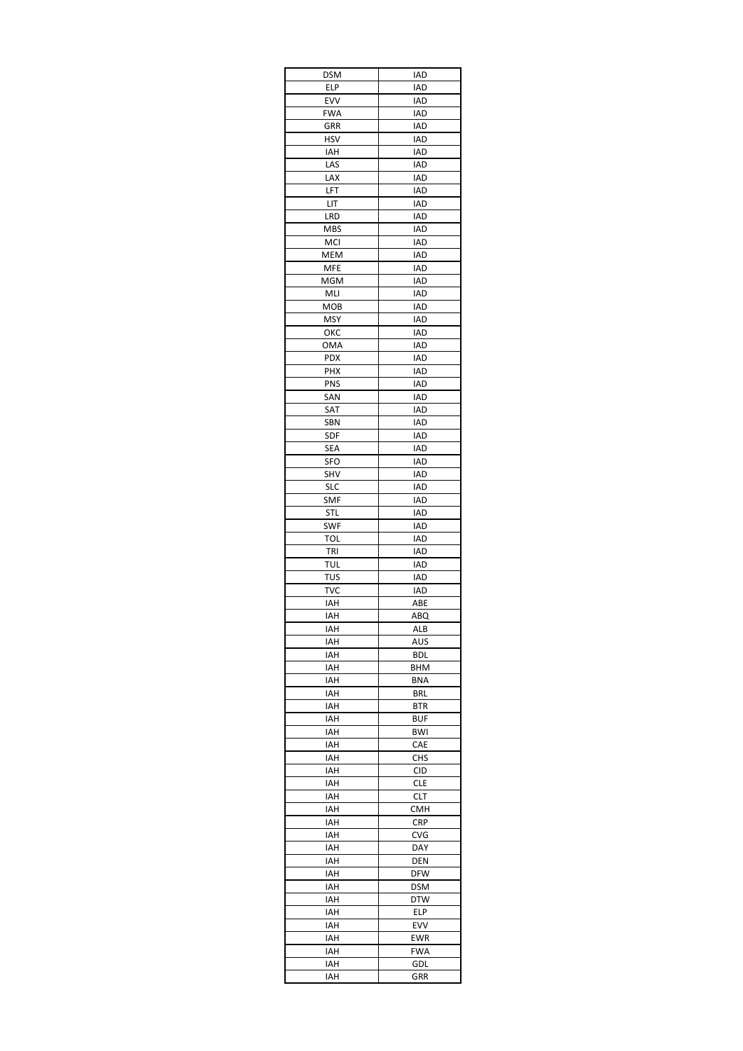| <b>DSM</b> | IAD               |
|------------|-------------------|
| ELP        | IAD               |
| EVV        | IAD               |
| <b>FWA</b> | IAD               |
| GRR        | IAD               |
| <b>HSV</b> | IAD               |
| IAH        | IAD               |
| LAS        | IAD               |
| LAX        | IAD               |
| LFT        | IAD               |
| LIT        | IAD               |
| LRD        | IAD               |
| MBS        | <b>IAD</b>        |
| MCI        | <b>IAD</b>        |
| MEM        | IAD               |
| MFE        | IAD               |
| MGM        | IAD               |
| MLI        | IAD               |
| мов        | IAD               |
| MSY        | IAD               |
| ОКС        | IAD               |
| OMA        | IAD               |
| PDX        | IAD               |
| PHX        | IAD               |
| PNS        |                   |
| SAN        | IAD<br>IAD        |
|            |                   |
| SAT        | IAD               |
| SBN        | IAD               |
| <b>SDF</b> | IAD               |
| SEA        | IAD               |
| SFO        | IAD               |
| SHV        | IAD               |
| SLC        | IAD               |
| SMF        | IAD               |
| STL        | IAD               |
| SWF        | $\overline{AD}$   |
| TOL        | IAD               |
| TRI        | <b>IAD</b>        |
| TUL        | IAD               |
| TUS        | <b>IAD</b>        |
| TVC        | IAD               |
| IAH        | ABE               |
| IAH        | ABQ               |
| IAH        | ALB               |
| IAH        | AUS               |
| IAH        | BDL               |
| IAH        | BHM               |
| IAH        | <b>BNA</b>        |
| IAH        | <b>BRL</b>        |
| IAH        | BTR               |
| IAH        | <b>BUF</b>        |
| IAH        | BWI               |
| IAH        | CAE               |
| IAH        | CHS               |
| IAH        | <b>CID</b>        |
| IAH        | <b>CLE</b>        |
| IAH        | CLT               |
| IAH        | <b>CMH</b>        |
| IAH        | <b>CRP</b>        |
| IAH        | CVG               |
| IAH        | DAY               |
| IAH        |                   |
|            | DEN<br><b>DFW</b> |
| IAH        |                   |
| IAH        | DSM               |
| IAH        | <b>DTW</b>        |
| IAH        | ELP               |
| IAH        | EVV               |
| IAH        | EWR               |
| IAH        | <b>FWA</b>        |
| IAH        | GDL               |
| IAH        | GRR               |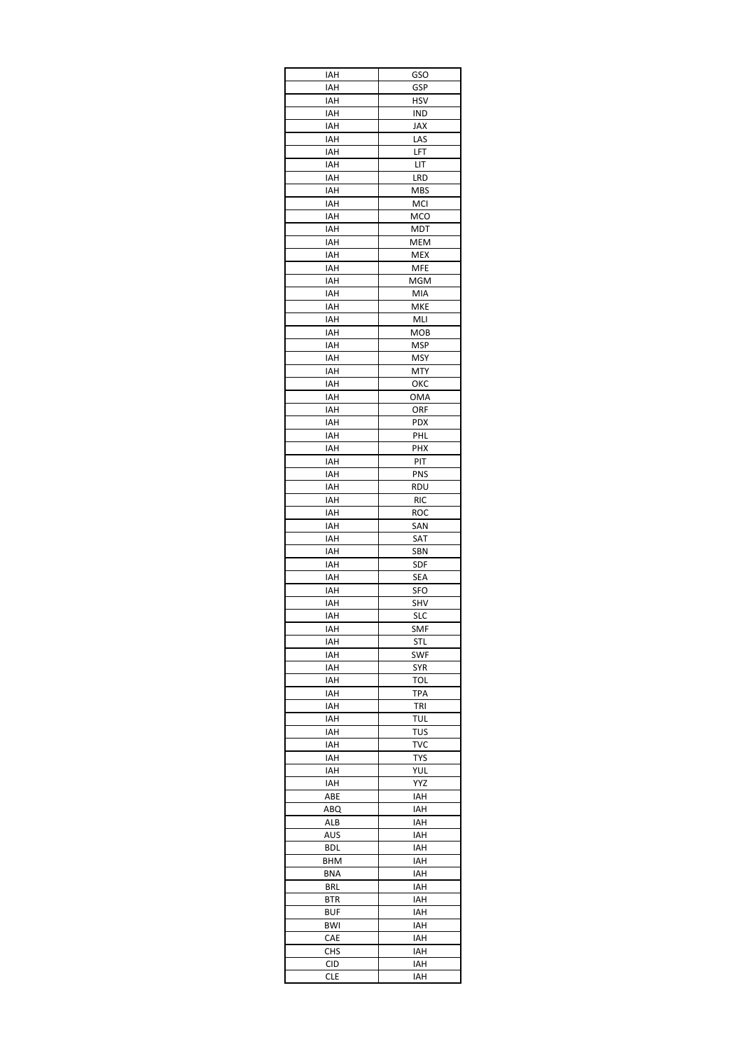| IAH        | GSO               |
|------------|-------------------|
| IAH        | GSP               |
| IAH        | <b>HSV</b>        |
| IAH        | IND               |
| IAH        | JAX               |
| IAH        | LAS               |
| IAH        | LFT               |
| IAH        | LIT               |
| IAH        | LRD               |
| IAH        | <b>MBS</b>        |
| IAH        | MCI               |
| IAH        | MCO               |
| IAH        | <b>MDT</b>        |
| IAH        | MEM               |
| IAH        | <b>MEX</b>        |
| IAH        | <b>MFE</b>        |
| IAH        | MGM               |
| IAH        | MIA               |
| IAH        | MKE               |
| IAH        | MLI               |
| IAH        | MOB               |
| IAH        | MSP               |
| IAH        | <b>MSY</b>        |
| IAH        | MTY               |
| IAH        | ОКС               |
| IAH        | OMA               |
| IAH        | ORF               |
| IAH<br>IAH | <b>PDX</b><br>PHL |
|            |                   |
| IAH        | PHX               |
| IAH        | PIT               |
| IAH        | PNS               |
| IAH        | rdu               |
| IAH        | <b>RIC</b>        |
| IAH        | ROC               |
| IAH        | SAN               |
| IAH        | SAT               |
| IAH        | SBN               |
| IAH        | SDF               |
| IAH        | SEA               |
| IAH        | SFO<br>SHV        |
| IAH        |                   |
| IAH<br>IAH | <b>SLC</b><br>SMF |
|            |                   |
| IAH        | STL<br><b>SWF</b> |
| IAH<br>IAH | SYR               |
| IAH        | TOL               |
| IAH        | TPA               |
| IAH        | TRI               |
| IAH        | TUL               |
| IAH        | TUS               |
| IAH        | <b>TVC</b>        |
| IAH        | <b>TYS</b>        |
| IAH        | YUL               |
| IAH        | YYZ               |
| ABE        | IAH               |
| ABQ        | IAH               |
| ALB        | IAH               |
| AUS        | IAH               |
| BDL        | IAH               |
| BHM        | IAH               |
| <b>BNA</b> | IAH               |
| BRL        | IAH               |
| BTR        | IAH               |
| BUF        | IAH               |
| <b>BWI</b> | IAH               |
| CAE        | IAH               |
| <b>CHS</b> | IAH               |
| CID        | IAH               |
| <b>CLE</b> | IAH               |
|            |                   |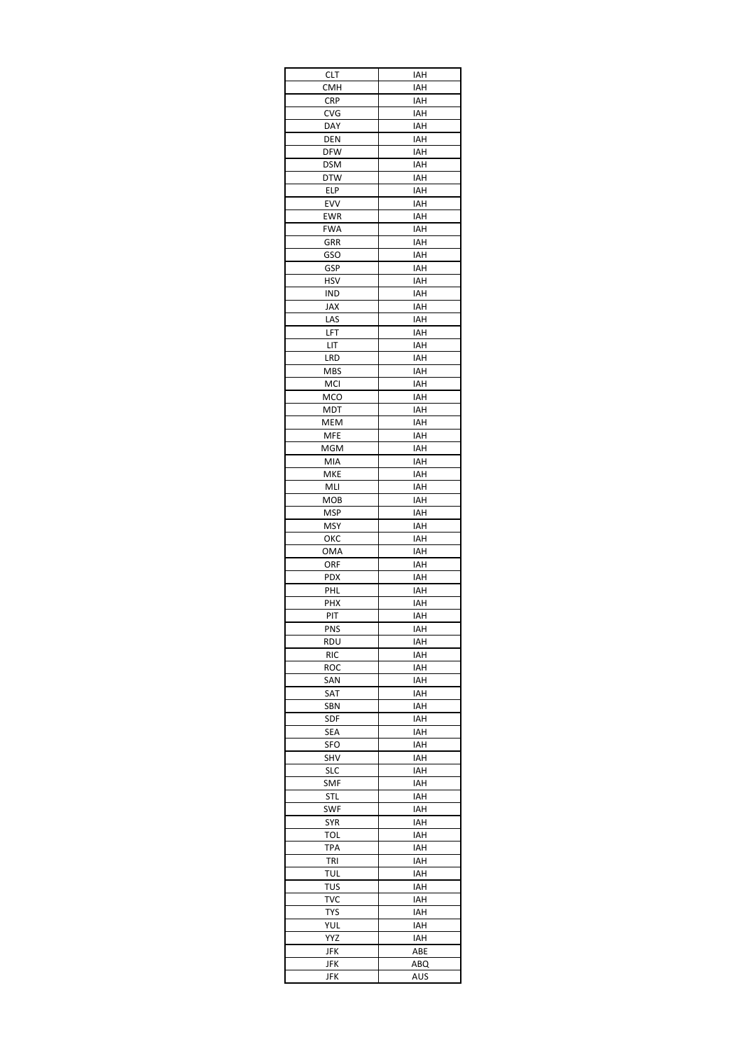| <b>CLT</b> | IAH        |
|------------|------------|
| CMH        | IAH        |
| <b>CRP</b> | IAH        |
| CVG        | IAH        |
| DAY        | IAH        |
| DEN        | IAH        |
| <b>DFW</b> | IAH        |
| <b>DSM</b> | IAH        |
| <b>DTW</b> | IAH        |
| ELP        | IAH        |
| EVV        | IAH        |
| EWR        | IAH        |
| <b>FWA</b> | IAH        |
| GRR<br>GSO | IAH<br>IAH |
| GSP        | IAH        |
| HSV        | IAH        |
| IND        | IAH        |
| JAX        | IAH        |
| LAS        | IAH        |
| LFT        | IAH        |
| LIT        | IAH        |
| LRD        | IAH        |
| <b>MBS</b> | IAH        |
| <b>MCI</b> | IAH        |
| <b>MCO</b> | IAH        |
| MDT        | IAH        |
| MEM        | IAH        |
| MFE        | IAH        |
| MGM        | IAH        |
| MIA        | IAH        |
| MKE        | IAH        |
| MLI        | IAH        |
| <b>MOB</b> | IAH        |
| <b>MSP</b> | IAH        |
| MSY        | IAH        |
| ОКС        | IAH        |
| OMA        | IAH        |
| ORF        | IAH        |
| <b>PDX</b> | IAH        |
| PHL        | IAH        |
| PHX        | IAH        |
| PIT        | IAH        |
| PNS        | IAH        |
| RDU        | IAH        |
| <b>RIC</b> | IAH        |
| roc        | IAH        |
| SAN        | IAH        |
| SAT        | IAH        |
| SBN        | IAH        |
| SDF        | IAH        |
| SEA        | IAH        |
| SFO        | IAH        |
| SHV        | IAH        |
| <b>SLC</b> | IAH        |
| <b>SMF</b> | IAH        |
| STL        | IAH        |
| SWF        | IAH        |
| SYR        | IAH        |
| TOL        | IAH        |
| <b>TPA</b> | IAH        |
| tri        | IAH        |
| TUL        | IAH        |
| TUS        | IAH        |
| TVC        | IAH        |
| <b>TYS</b> | IAH        |
| YUL        | IAH        |
| YYZ        | IAH        |
| JFK        | ABE        |
| JFK        | ABQ        |
| JFK        | AUS        |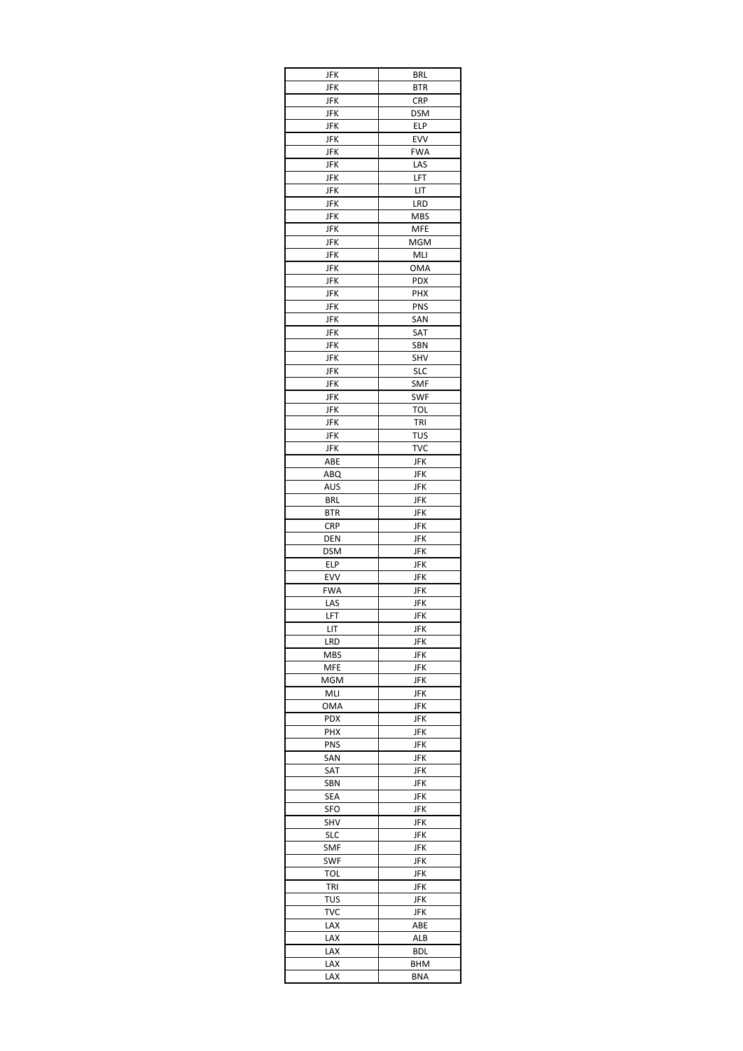| JFK        | <b>BRL</b>        |
|------------|-------------------|
| JFK        | <b>BTR</b>        |
| JFK        | <b>CRP</b>        |
| JFK        | DSM               |
| JFK        | ELP               |
| JFK        | EVV               |
| JFK        | <b>FWA</b>        |
| JFK        | LAS               |
| JFK        | LFT<br>LIT        |
| JFK        |                   |
| JFK<br>JFK | LRD<br><b>MBS</b> |
| JFK        | MFE               |
| JFK        | MGM               |
| JFK        | MLI               |
| JFK        | <b>OMA</b>        |
| JFK        | <b>PDX</b>        |
| JFK        | PHX               |
| JFK        | PNS               |
| JFK        | SAN               |
| <b>JFK</b> | SAT               |
| JFK        | SBN               |
| JFK        | SHV               |
| JFK        | <b>SLC</b>        |
| JFK        | SMF               |
| JFK        | SWF               |
| <b>JFK</b> | <b>TOL</b>        |
| <b>JFK</b> | TRI               |
| JFK        | TUS               |
| JFK        | TVC               |
| ABE        | <b>JFK</b>        |
| ABQ<br>AUS | JFK               |
| BRL        | JFK<br>JFK        |
| <b>BTR</b> | JFK               |
| CRP        | JFK               |
| DEN        | JFK               |
| <b>DSM</b> | JFK               |
| ELP        | JFK               |
| EVV        | JFK               |
| <b>FWA</b> | JFK               |
| LAS        | JFK               |
| LFT        | JFK               |
| LIT        | <b>JFK</b>        |
| LRD        | JFK               |
| MBS        | JFK               |
| MFE        | JFK               |
| MGM        | <b>JFK</b>        |
| MLI        | JFK               |
| OMA        | JFK               |
| <b>PDX</b> | JFK               |
| PHX        | JFK               |
| PNS        | JFK               |
| SAN        | JFK               |
| SAT        | JFK               |
| SBN        | JFK               |
| SEA<br>SFO | JFK<br>JFK        |
| SHV        | JFK               |
| <b>SLC</b> | JFK               |
| SMF        | JFK               |
| SWF        | JFK               |
| TOL        | JFK               |
| TRI        | <b>JFK</b>        |
| TUS        | JFK               |
| TVC        | JFK               |
| LAX        | ABE               |
| LAX        | ALB               |
| LAX        | BDL               |
| LAX        | BHM               |
| LAX        | <b>BNA</b>        |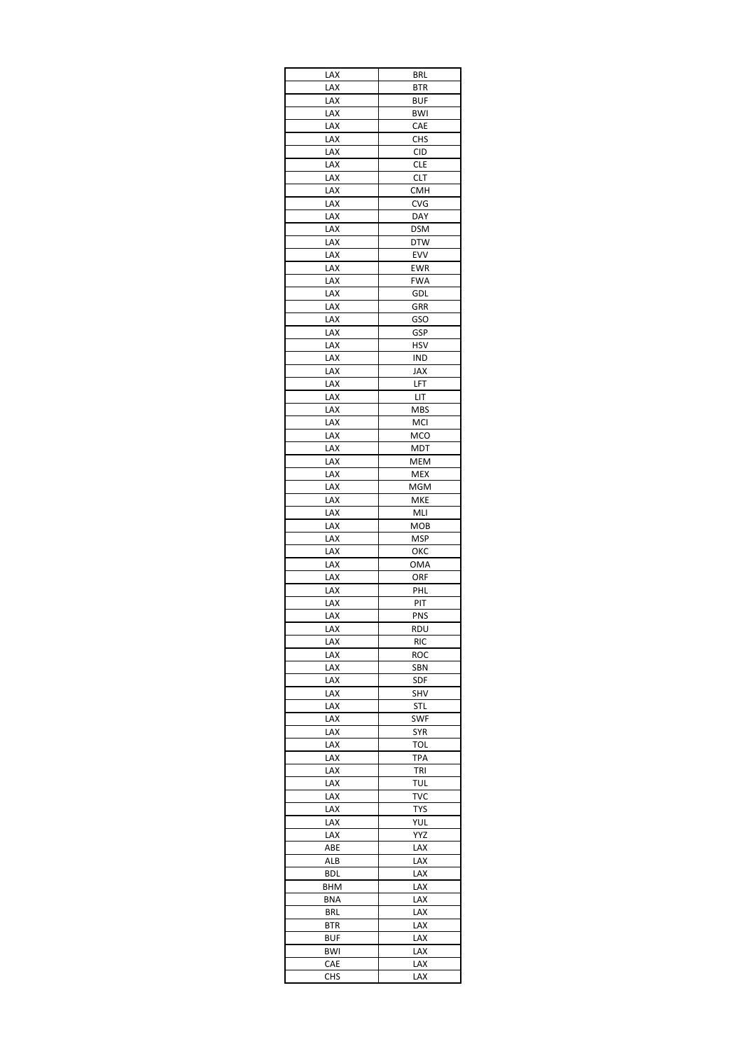| LAX        | <b>BRL</b> |
|------------|------------|
| .<br>Lax   | <b>BTR</b> |
| lax        | BUF        |
| LAX        | BWI        |
| LAX        | CAE        |
| LAX        | <b>CHS</b> |
| LAX        | <b>CID</b> |
| LAX        | <b>CLE</b> |
| LAX        | <b>CLT</b> |
| LAX        | <b>CMH</b> |
| LAX        | <b>CVG</b> |
| LAX        | DAY        |
| LAX        | <b>DSM</b> |
| LAX        | <b>DTW</b> |
| LAX        | EVV        |
| LAX        | <b>EWR</b> |
| LAX        | <b>FWA</b> |
| LAX<br>LAX | GDL<br>GRR |
|            |            |
| LAX        | GSO        |
| LAX<br>LAX | GSP<br>HSV |
| LAX        | <b>IND</b> |
| LAX        | JAX        |
| LAX        | LFT        |
| LAX        | LIT        |
| LAX        | <b>MBS</b> |
| LAX        | MCI        |
| LAX        | MCO        |
| LAX        | MDT        |
| LAX        | MEM        |
| LAX        | <b>MEX</b> |
| LAX        | MGM        |
| LAX        | <b>MKE</b> |
| LAX        | MLI        |
| LAX        | мов        |
| LAX        | MSP        |
| LAX        | ОКС        |
| LAX        | <b>OMA</b> |
| LAX        | ORF        |
| LAX        | PHL        |
| LAX        | PIT        |
| LAX        | PNS        |
| LAX        | <b>RDU</b> |
| LAX        | RIC        |
| lax        | ROC        |
| LAX        | SBN        |
| LAX        | SDF        |
| LAX        | SHV        |
| LAX        | STL        |
| LAX        | <b>SWF</b> |
| LAX        | SYR        |
| LAX        | TOL        |
| LAX        | TPA        |
| lax        | TRI        |
| LAX        | <b>TUL</b> |
| LAX        | TVC        |
| LAX        | <b>TYS</b> |
| LAX        | YUL        |
| LAX        | YYZ        |
| ABE        | LAX        |
| ALB        | LAX        |
| <b>BDL</b> | LAX        |
| BHM        | LAX        |
| <b>BNA</b> | LAX        |
| <b>BRL</b> | LAX        |
| BTR        | LAX        |
| BUF        | LAX        |
| BWI        | LAX        |
| CAE        | LAX        |
| CHS        | LAX        |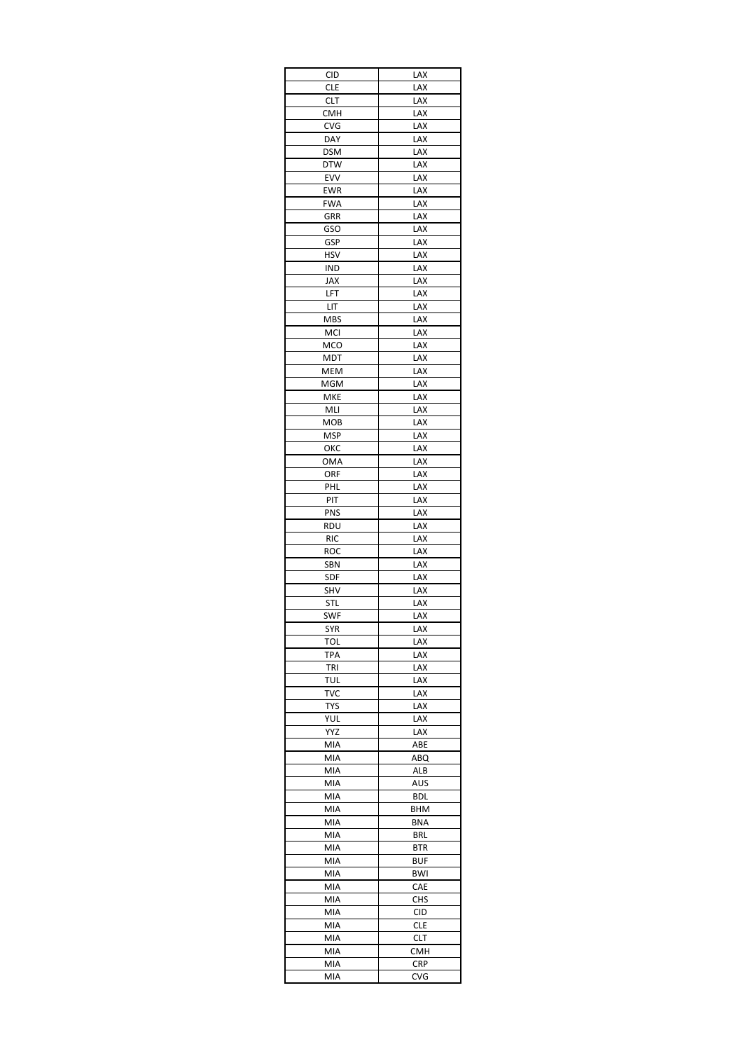| <b>CID</b> | LAX        |
|------------|------------|
| <b>CLE</b> | LAX        |
| <b>CLT</b> | LAX        |
| смн        | LAX        |
| CVG        | LAX        |
| DAY        | LAX        |
| <b>DSM</b> | LAX        |
| <b>DTW</b> | LAX        |
| EVV        | LAX        |
| EWR        | LAX        |
| <b>FWA</b> | LAX        |
| GRR        | LAX        |
| <b>GSO</b> | LAX        |
| GSP        | LAX        |
| HSV        | LAX        |
| IND        | LAX        |
| JAX        | LAX        |
| LFT        | LAX        |
| LIT        | LAX        |
| <b>MBS</b> | LAX        |
| MCI        | LAX        |
| MCO        | LAX        |
| <b>MDT</b> | LAX        |
| MEM        | LAX        |
| MGM        | LAX        |
| <b>MKE</b> | LAX        |
| MLI        | LAX        |
| MOB        | LAX        |
| MSP        | LAX        |
| ОКС        | LAX        |
| OMA        | LAX        |
| orf        | LAX        |
| PHL        | LAX        |
| PIT        | LAX        |
| PNS        | LAX        |
| RDU        | LAX        |
| <b>RIC</b> | LAX        |
| ROC        | LAX        |
| SBN        | LAX        |
| SDF        | LAX        |
| SHV        | LAX        |
| STL        | LAX        |
| SWF        | LAX        |
| SYR        | LAX        |
| <b>TOL</b> | LAX        |
| TPA        | LAX        |
| TRI        | LAX        |
| <b>TUL</b> | LAX        |
| <b>TVC</b> | LAX        |
| TYS        | LAX        |
| YUL        | LAX        |
| YYZ        | LAX        |
| MIA        | ABE        |
| MIA        | ABQ        |
| MIA        | ALB        |
| MIA        | AUS        |
| MIA        | BDL        |
| MIA        | BHM        |
| MIA        | <b>BNA</b> |
| MIA        | <b>BRL</b> |
| MIA        | BTR        |
| MIA        | <b>BUF</b> |
| MIA        | <b>BWI</b> |
| MIA        | CAE        |
| MIA        | <b>CHS</b> |
| MIA        | CID        |
| MIA        | <b>CLE</b> |
| MIA        | CLT        |
| MIA        | <b>CMH</b> |
| MIA        | <b>CRP</b> |
|            |            |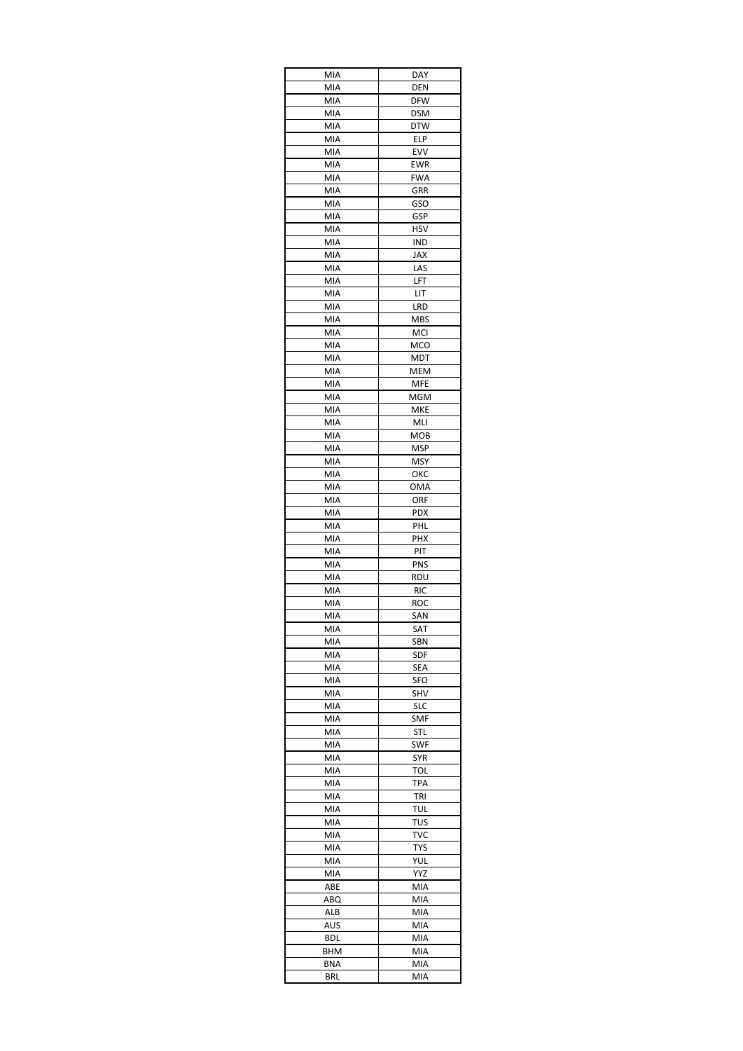| MIA        | DAY               |
|------------|-------------------|
| MIA        | <b>DEN</b>        |
| MIA        | <b>DFW</b>        |
| MIA        | <b>DSM</b>        |
| MIA        | DTW               |
| MIA        | <b>ELP</b>        |
| MIA        | EVV               |
| MIA        | <b>EWR</b>        |
| MIA        | <b>FWA</b><br>GRR |
| MIA<br>MIA | GSO               |
| MIA        | GSP               |
| MIA        | HSV               |
| MIA        | IND               |
| MIA        | JAX               |
| MIA        | LAS               |
| MIA        | LFT               |
| MIA        | LIT               |
| MIA        | LRD               |
| MIA        | <b>MBS</b>        |
| MIA        | MCI               |
| MIA        | MCO               |
| MIA        | MDT               |
| MIA        | MEM               |
| MIA        | <b>MFE</b>        |
| MIA        | MGM               |
| MIA        | <b>MKE</b>        |
| MIA<br>MIA | MLI<br>MOB        |
| MIA        | MSP               |
| MIA        | MSY               |
| MIA        | ОКС               |
| MIA        | OMA               |
| MIA        | orf               |
| MIA        | <b>PDX</b>        |
| MIA        | PHL               |
| MIA        | PHX               |
| MIA        | PIT               |
| MIA        | <b>PNS</b>        |
| MIA        | rdu               |
| MIA        | <b>RIC</b>        |
| MIA        | <b>ROC</b>        |
| MIA        | SAN               |
| MIA        | SAT               |
| MIA        | SBN               |
| MIA        | <b>SDF</b>        |
| MIA        | SEA               |
| MIA        | SFO               |
| MIA<br>MIA | SHV<br>SLC        |
| MIA        | SMF               |
| MIA        | <b>STL</b>        |
| MIA        | SWF               |
| MIA        | <b>SYR</b>        |
| MIA        | TOL               |
| MIA        | <b>TPA</b>        |
| MIA        | TRI               |
| MIA        | TUL               |
| MIA        | TUS               |
| MIA        | <b>TVC</b>        |
| MIA        | <b>TYS</b>        |
| MIA        | YUL               |
| MIA        | YYZ               |
| ABE        | MIA               |
| ABQ        | MIA               |
| ALB        | MIA               |
| AUS        | MIA               |
| BDL        | MIA               |
| BHM        | MIA               |
| BNA        | MIA               |
| BRL        | MIA               |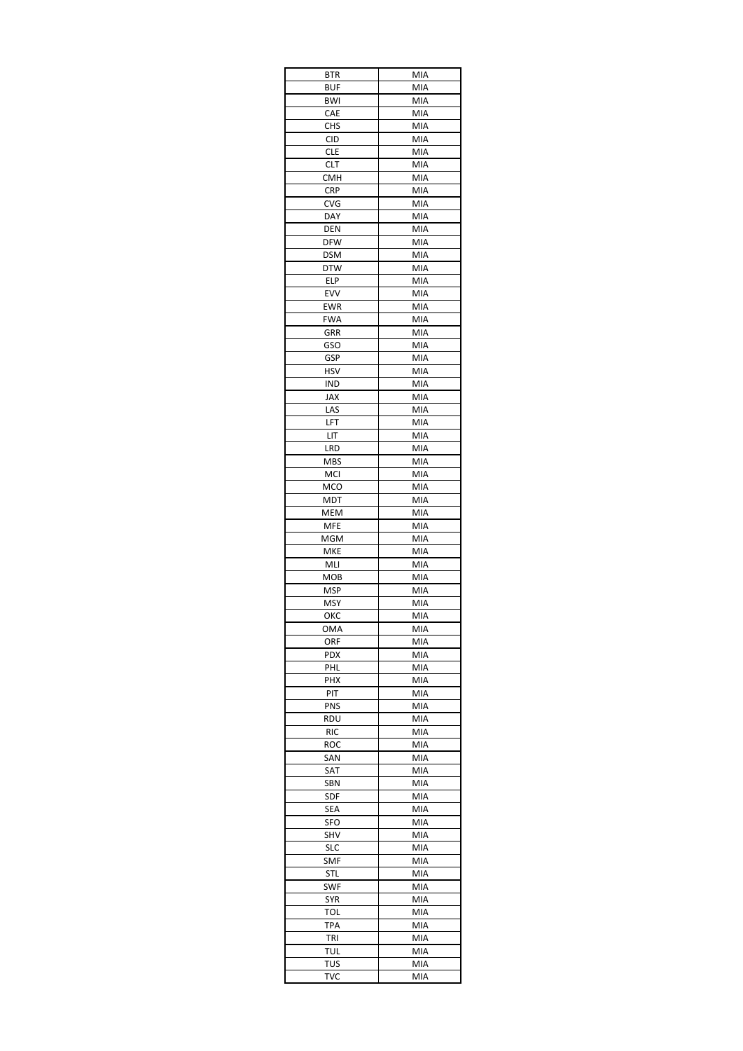| BTR               | MIA        |
|-------------------|------------|
| BUF               | MIA        |
| <b>BWI</b>        | MIA        |
| CAE               | MIA        |
| <b>CHS</b>        | MIA        |
| <b>CID</b>        | MIA        |
| <b>CLE</b>        | MIA        |
| <b>CLT</b>        | MIA        |
| СМН               | MIA        |
| <b>CRP</b>        | MIA        |
| CVG               | MIA        |
| DAY               | MIA        |
| <b>DEN</b>        | MIA        |
| <b>DFW</b>        | MIA        |
| <b>DSM</b>        | MIA        |
| <b>DTW</b>        | MIA        |
| ELP               | MIA        |
| EVV               | MIA        |
| EWR               | MIA        |
| FWA               | MIA        |
| GRR               | MIA        |
| GSO               | MIA        |
| GSP               | MIA        |
| HSV               | MIA        |
| IND               | MIA        |
| JAX               | MIA        |
| LAS               | MIA        |
| LFT               | MIA        |
| LIT               | MIA        |
| LRD               | MIA        |
| MBS               | MIA        |
| MCI               | MIA        |
| MCO               | MIA        |
| MDT               | MIA        |
| MEM               | MIA        |
| MFE               | MIA        |
| MGM               | MIA        |
| MKE               | MIA        |
| MLI               | MIA        |
| мов               | MIA        |
| MSP               | MIA        |
| MSY<br>ОКС        | MIA        |
|                   | MIA        |
| OMA               | MIA        |
| ORF               | MIA        |
| PDX               | MIA        |
| PHL<br>PHX        | MIA<br>MIA |
|                   | MIA        |
| PIT<br>PNS        | MIA        |
|                   | MIA        |
|                   |            |
| RDU               |            |
| <b>RIC</b>        | MIA        |
| ROC               | MIA        |
| SAN               | MIA        |
| SAT               | MIA        |
| SBN               | MIA        |
| SDF               | MIA        |
| SEA               | MIA        |
| SFO               | MIA        |
| SHV               | MIA        |
| <b>SLC</b>        | MIA        |
| SMF               | MIA        |
| STL               | MIA        |
| SWF               | MIA        |
| SYR               | MIA        |
| TOL               | MIA        |
| TPA               | MIA        |
| TRI               | MIA        |
| tul               | MIA        |
| TUS<br><b>TVC</b> | MIA<br>MIA |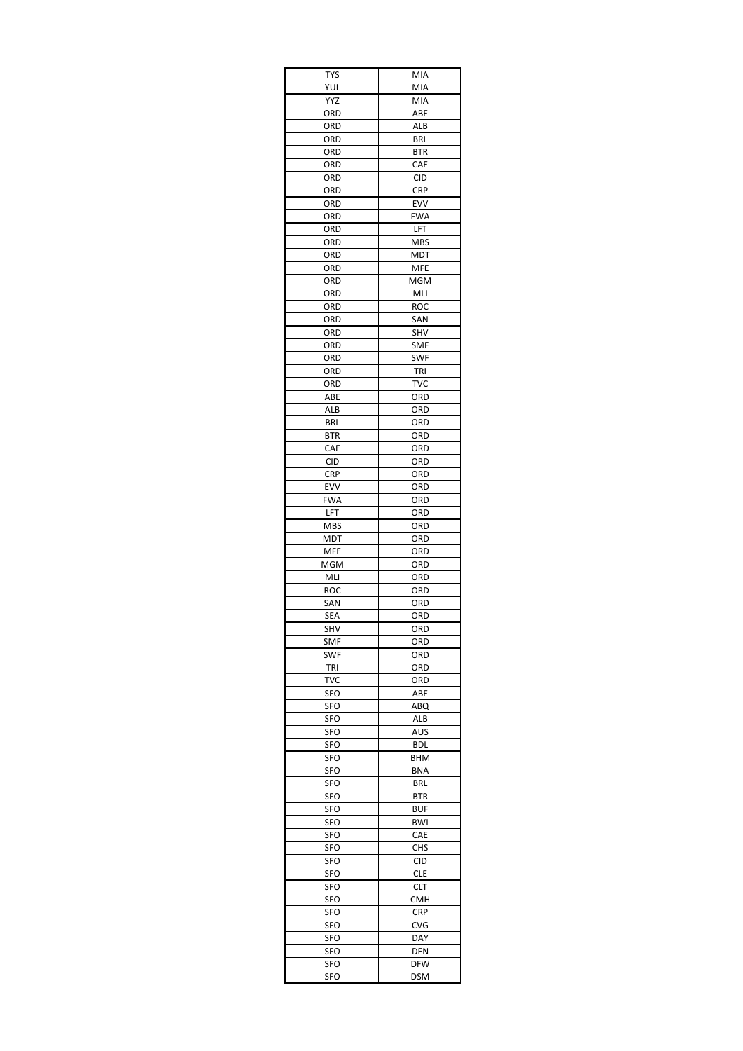| TYS        | MIA        |
|------------|------------|
| YUL        | MIA        |
| YYZ        | MIA        |
| ord        | ABE        |
| ORD        | ALB        |
| ORD        | <b>BRL</b> |
| ORD<br>ORD | BTR<br>CAE |
| ORD        | <b>CID</b> |
| ORD        | <b>CRP</b> |
| ORD        | EVV        |
| ORD        | <b>FWA</b> |
| ORD        | LFT        |
| ORD        | <b>MBS</b> |
| ORD        | MDT        |
| ORD        | MFE        |
| ORD        | MGM        |
| ORD        | MLI        |
| ORD        | ROC        |
| ORD        | SAN        |
| ORD        | SHV        |
| ORD        | <b>SMF</b> |
| ORD        | <b>SWF</b> |
| ORD        | TRI        |
| ORD<br>ABE | TVC<br>ORD |
| ALB        | ORD        |
| <b>BRL</b> | ORD        |
| BTR        | ORD        |
| CAE        | ORD        |
| <b>CID</b> | ORD        |
| <b>CRP</b> | ORD        |
| EVV        | ORD        |
| <b>FWA</b> | ORD        |
| LFT        | ORD        |
| MBS        | ORD        |
| MDT        | ORD        |
| MFE        | ORD        |
| MGM        | ORD        |
| MLI        | ORD        |
| ROC        | ORD        |
| SAN        | ORD        |
| SEA        | ORD        |
| SHV        | ORD        |
| SMF        | ORD        |
| <b>SWF</b> | ORD        |
| TRI        | ORD        |
| TVC        | ORD<br>ABE |
| SFO<br>SFO | ABQ        |
| SFO        | ALB        |
| SFO        | AUS        |
| SFO        | <b>BDL</b> |
| SFO        | BHM        |
| <b>SFO</b> | <b>BNA</b> |
| SFO        | <b>BRL</b> |
| SFO        | BTR        |
| SFO        | BUF        |
| SFO        | BWI        |
| SFO        | CAE        |
| SFO        | CHS        |
| SFO        | CID        |
| SFO        | <b>CLE</b> |
| SFO        | CLT        |
| SFO        | CMH        |
| SFO        | <b>CRP</b> |
| SFO        | CVG        |
| SFO        | DAY        |
| SFO        | DEN        |
| SFO        | <b>DFW</b> |
| SFO        | DSM        |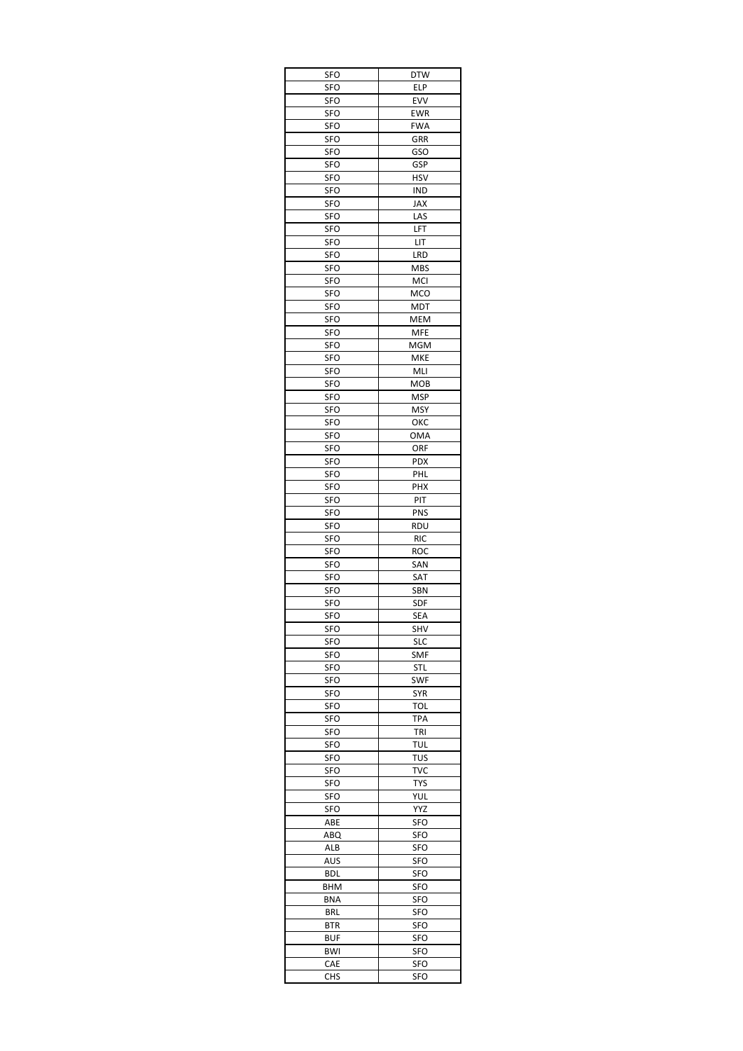| <b>SFO</b>        | <b>DTW</b>        |
|-------------------|-------------------|
| SFO               | ELP               |
| SFO               | EVV               |
| SFO               | EWR               |
| SFO               | <b>FWA</b>        |
| SFO               | GRR               |
| SFO               | <b>GSO</b>        |
| SFO               | GSP               |
| SFO               | HSV               |
| <b>SFO</b>        | IND               |
| SFO               | JAX               |
| <b>SFO</b>        | LAS               |
| <b>SFO</b>        | LFT               |
| SFO               | LIT               |
| SFO               | LRD               |
| SFO               | <b>MBS</b>        |
| SFO               | <b>MCI</b>        |
| SFO               | <b>MCO</b>        |
| SFO               | MDT               |
| SFO               | MEM               |
| SFO               | <b>MFE</b>        |
| SFO               | MGM               |
| SFO<br><b>SFO</b> | <b>MKE</b>        |
| SFO               | MLI<br><b>MOB</b> |
| <b>SFO</b>        | MSP               |
| SFO               | <b>MSY</b>        |
| SFO               | ОКС               |
| SFO               | OMA               |
| SFO               | ORF               |
| SFO               | <b>PDX</b>        |
| SFO               | PHL               |
| SFO               | PHX               |
| SFO               | PIT               |
| SFO               | <b>PNS</b>        |
| SFO               | RDU               |
| SFO               | <b>RIC</b>        |
| <b>SFO</b>        | ROC               |
| SFO               | SAN               |
| SFO               | SAT               |
| SFO               | SBN               |
| SFO               | SDF               |
| SFO               | SEA               |
| SFO               | SHV               |
| SFO               | SLC               |
| SFO               | <b>SMF</b>        |
| SFO               | <b>STL</b>        |
| SFO               | SWF               |
| SFO               | SYR               |
| SFO               | TOL               |
| SFO               | <b>TPA</b>        |
| SFO               | TRI               |
| SFO               | TUL               |
| SFO               | TUS               |
| SFO               | TVC               |
| SFO               | <b>TYS</b>        |
| SFO               | YUL               |
| <b>SFO</b>        | YYZ               |
| ABE               | SFO               |
| ABQ               | SFO               |
| ALB               | SFO               |
| AUS               | SFO               |
| BDL               | SFO               |
| BHM               | SFO               |
| BNA               | SFO               |
| BRL               | SFO               |
| BTR               | SFO               |
| BUF               | SFO               |
| BWI               | SFO               |
| CAE               | SFO               |
| CHS               | SFO               |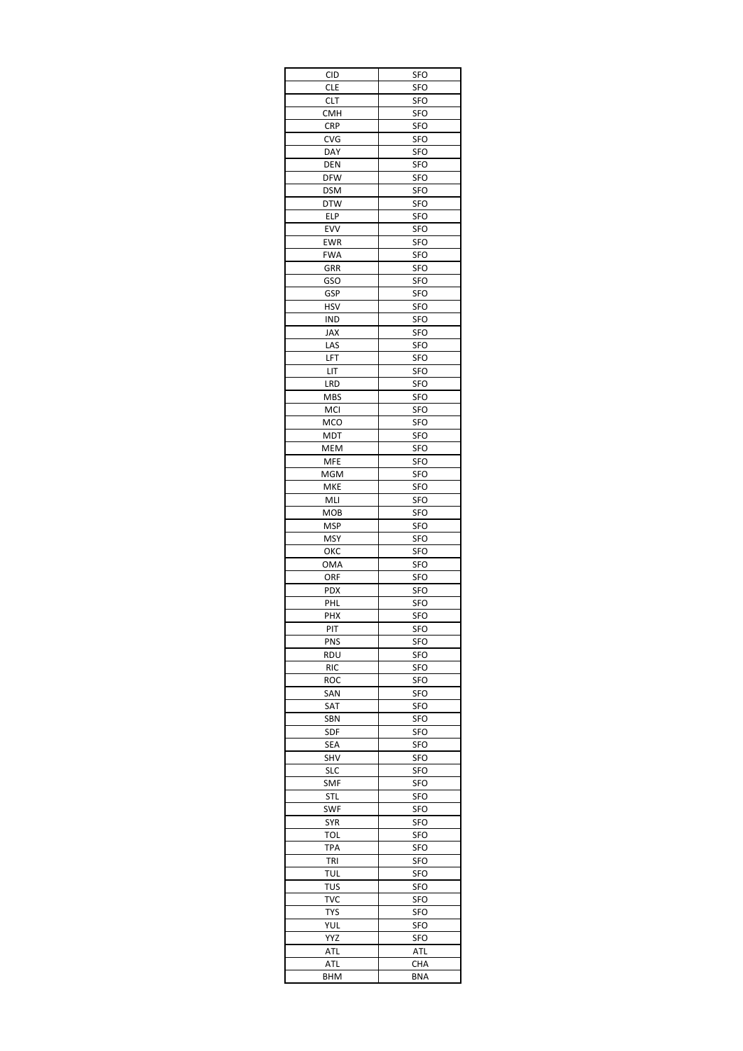| <b>CID</b> | SFO               |
|------------|-------------------|
| <b>CLE</b> | <b>SFO</b>        |
| CLT        | SFO               |
| <b>CMH</b> | SFO               |
| <b>CRP</b> | SFO               |
| <b>CVG</b> | SFO               |
| DAY        | SFO               |
| DEN        | SFO               |
| <b>DFW</b> | SFO               |
| <b>DSM</b> | SFO               |
| DTW        | <b>SFO</b>        |
| ELP        | SFO               |
| <b>EVV</b> | SFO               |
| EWR        | SFO               |
| <b>FWA</b> | SFO               |
| GRR        | SFO               |
| GSO        | <b>SFO</b>        |
| GSP<br>HSV | SFO<br>SFO        |
| <b>IND</b> | SFO               |
| JAX        | SFO               |
| LAS        | SFO               |
| LFT        | SFO               |
| LIT        | SFO               |
| LRD        | SFO               |
| MBS        | SFO               |
| MCI        | SFO               |
| MCO        | SFO               |
| MDT        | SFO               |
| MEM        | SFO               |
| MFE        | SFO               |
| MGM        | SFO               |
| MKE        | SFO               |
| MLI        | SFO               |
| МОВ        | SFO               |
| MSP        | <b>SFO</b>        |
| MSY        | SFO               |
| ОКС        | SFO               |
| OMA        | SFO               |
| ORF        | SFO               |
| PDX        | SFO               |
| PHL        | SFO               |
| PHX        | SFO               |
| PIT        | <b>SFO</b>        |
| PNS        | SFO               |
| RDU        | SFO               |
| RIC        | SFO               |
| roc        | SFO               |
| SAN        | SFO               |
| SAT        | SFO               |
| <b>SBN</b> | SFO               |
| SDF        | <b>SFO</b>        |
| SEA        | SFO               |
| SHV        | SFO               |
| SLC        | SFO               |
| SMF        | SFO               |
| STL        | SFO               |
| SWF        | SFO               |
| <b>SYR</b> | SFO               |
| TOL        | SFO               |
| TPA        | SFO               |
| TRI        | SFO               |
| TUL        | SFO               |
| TUS<br>TVC | <b>SFO</b><br>SFO |
| TYS        | SFO               |
| YUL        | SFO               |
| YYZ        | SFO               |
| ATL        | <b>ATL</b>        |
| ATL        | CHA               |
| BHM        | <b>BNA</b>        |
|            |                   |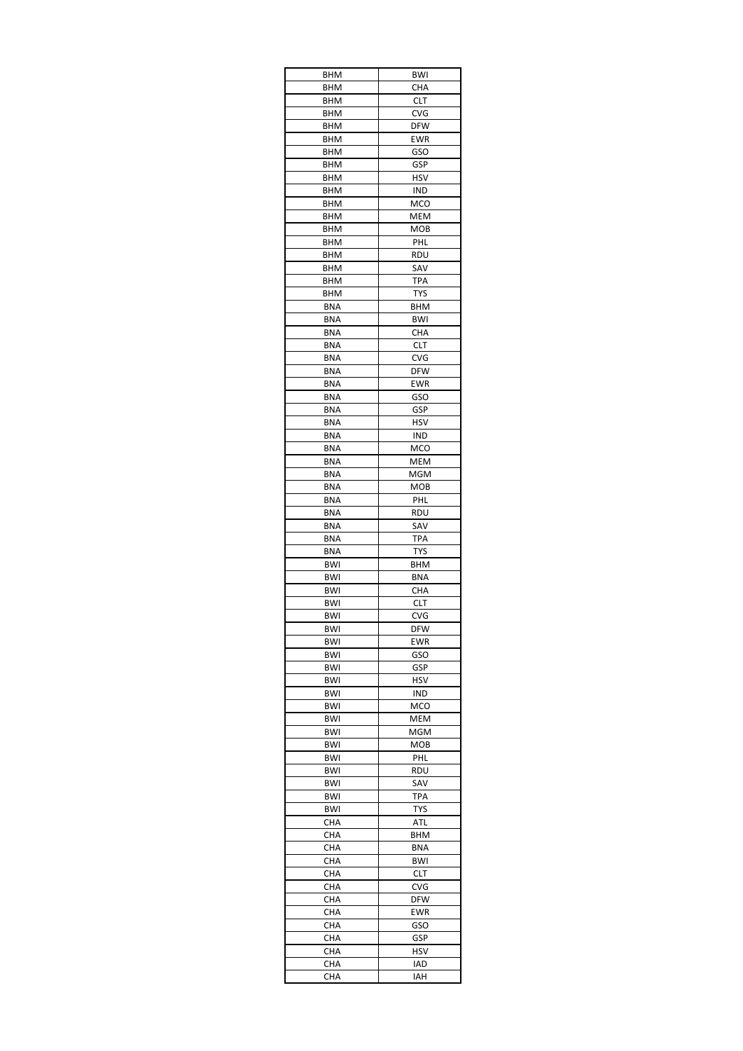| <b>BHM</b>        | BWI               |
|-------------------|-------------------|
| BHM               | CHA               |
| BHM               | <b>CLT</b>        |
| BHM               | CVG               |
| BHM               | <b>DFW</b>        |
| <b>BHM</b>        | EWR               |
| BHM               | <b>GSO</b>        |
| BHM               | GSP               |
| BHM               | <b>HSV</b>        |
| BHM               | IND               |
| BHM               | MCO               |
| <b>BHM</b>        | MEM               |
| BHM<br>BHM        | <b>MOB</b><br>PHL |
| BHM               | rdu               |
| BHM               | SAV               |
| BHM               | <b>TPA</b>        |
| BHM               | <b>TYS</b>        |
| <b>BNA</b>        | <b>BHM</b>        |
| BNA               | <b>BWI</b>        |
| <b>BNA</b>        | CHA               |
| BNA               | CLT               |
| <b>BNA</b>        | CVG               |
| <b>BNA</b>        | <b>DFW</b>        |
| <b>BNA</b>        | EWR               |
| <b>BNA</b>        | GSO               |
| BNA               | GSP               |
| <b>BNA</b>        | HSV               |
| BNA               | IND               |
| BNA               | <b>MCO</b>        |
| <b>BNA</b>        | MEM               |
| <b>BNA</b>        | MGM               |
| <b>BNA</b>        | MOB               |
| <b>BNA</b>        | PHL               |
| <b>BNA</b>        | RDU               |
| BNA               | SAV               |
| BNA               | <b>TPA</b>        |
| BNA               | <b>TYS</b>        |
| BWI<br><b>BWI</b> | BHM               |
| <b>BWI</b>        | <b>BNA</b><br>CHA |
| <b>BWI</b>        | <b>CLT</b>        |
| BWI               | CVG               |
| BWI               | <b>DFW</b>        |
| BWI               | EWR               |
| BWI               | GSO               |
| BWI               | GSP               |
| BWI               | HSV               |
| <b>BWI</b>        | IND               |
| BWI               | MCO               |
| BWI               | MEM               |
| BWI               | MGM               |
| BWI               | MOB               |
| BWI               | PHL               |
| <b>BWI</b>        | rdu               |
| BWI               | SAV               |
| BWI               | <b>TPA</b>        |
| BWI               | <b>TYS</b>        |
| CHA               | ATL               |
| CHA               | BHM               |
| CHA               | BNA               |
| CHA               | BWI               |
| CHA               | <b>CLT</b>        |
| CHA               | CVG               |
| CHA               | DFW               |
| CHA               | EWR               |
| CHA               | GSO               |
| CHA               | GSP               |
| CHA<br>CHA        | HSV<br>IAD        |
|                   |                   |
| CHA               | IAH               |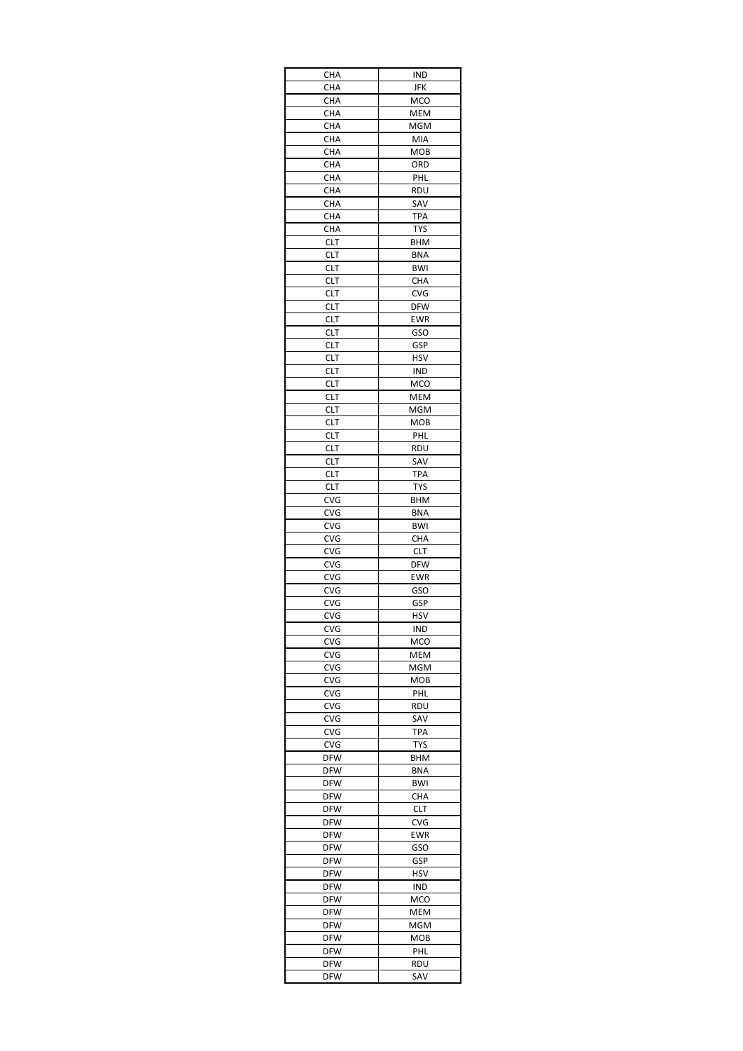| CHA                      | IND                      |
|--------------------------|--------------------------|
| CHA                      | JFK                      |
| CHA                      | MCO                      |
| CHA                      | MEM                      |
| CHA                      | MGM                      |
| CHA                      | MIA                      |
| CHA                      | MOB<br>ORD               |
| CHA<br>CHA               | PHL                      |
| CHA                      | RDU                      |
| CHA                      | SAV                      |
| CHA                      | <b>TPA</b>               |
| CHA                      | <b>TYS</b>               |
| <b>CLT</b>               | BHM                      |
| CLT                      | <b>BNA</b>               |
| CLT                      | <b>BWI</b>               |
| CLT                      | CHA                      |
| <b>CLT</b>               | CVG                      |
| CLT                      | <b>DFW</b>               |
| CLT                      | <b>EWR</b>               |
| CLT                      | GSO                      |
| CLT                      | GSP                      |
| CLT                      | <b>HSV</b>               |
| <b>CLT</b>               | IND                      |
| CLT                      | MCO                      |
| <b>CLT</b>               | MEM                      |
| <b>CLT</b>               | MGM                      |
| CLT                      | MOB                      |
| CLT                      | PHL                      |
| CLT<br><b>CLT</b>        | <b>RDU</b><br>SAV        |
|                          |                          |
| CLT<br>CLT               | <b>TPA</b><br><b>TYS</b> |
| CVG                      | BHM                      |
| CVG                      | <b>BNA</b>               |
| CVG                      | <b>BWI</b>               |
| <b>CVG</b>               | <b>CHA</b>               |
| <b>CVG</b>               | <b>CLT</b>               |
| CVG                      | <b>DFW</b>               |
| CVG                      | <b>EWR</b>               |
| CVG                      | <b>GSO</b>               |
| CVG                      | GSP                      |
| CVG                      | HSV                      |
| CVG                      | <b>IND</b>               |
| CVG                      | MCO                      |
| CVG                      | MEM                      |
| CVG                      | MGM                      |
| CVG                      | MOB                      |
| CVG                      | PHL                      |
| CVG                      | rdu                      |
| CVG                      | SAV                      |
| CVG                      | <b>TPA</b>               |
| <b>CVG</b>               | <b>TYS</b>               |
| DFW                      | BHM                      |
| <b>DFW</b>               | <b>BNA</b><br><b>BWI</b> |
| <b>DFW</b><br><b>DFW</b> | CHA                      |
| DFW                      | <b>CLT</b>               |
| <b>DFW</b>               | CVG                      |
| <b>DFW</b>               | EWR                      |
| DFW                      | GSO                      |
| <b>DFW</b>               | GSP                      |
| <b>DFW</b>               | HSV                      |
| DFW                      | IND                      |
| <b>DFW</b>               | MCO                      |
| <b>DFW</b>               | MEM                      |
| <b>DFW</b>               | MGM                      |
| DFW                      | <b>MOB</b>               |
| DFW                      | PHL                      |
| DFW                      | RDU                      |
| <b>DFW</b>               | SAV                      |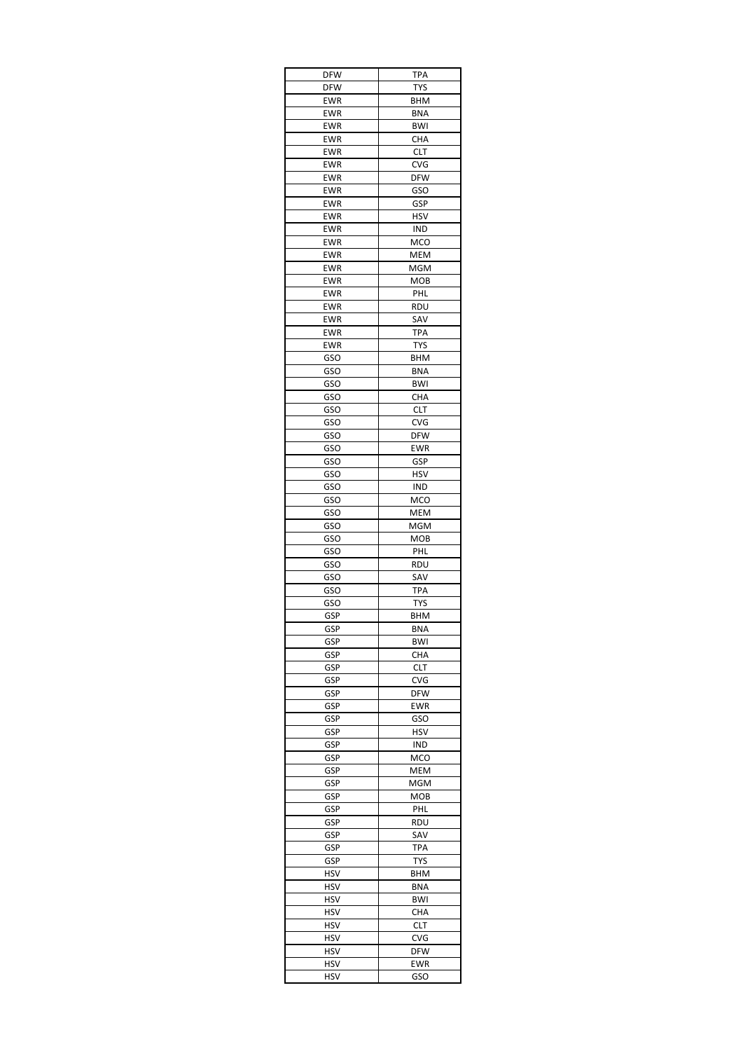| <b>DFW</b> | <b>TPA</b> |
|------------|------------|
| <b>DFW</b> | <b>TYS</b> |
| <b>EWR</b> | <b>BHM</b> |
| <b>EWR</b> | BNA        |
| <b>EWR</b> | <b>BWI</b> |
| EWR        | CHA        |
| EWR        | <b>CLT</b> |
| EWR        | CVG        |
| EWR        | <b>DFW</b> |
| <b>EWR</b> | GSO        |
| EWR        | GSP        |
| EWR        | HSV        |
| EWR        | IND        |
| EWR        | MCO        |
| EWR        | MEM        |
| EWR        | MGM        |
| EWR        | <b>MOB</b> |
| EWR        | PHL        |
| EWR        | RDU        |
| <b>EWR</b> | SAV        |
| <b>EWR</b> | <b>TPA</b> |
| EWR        | <b>TYS</b> |
| GSO        | BHM        |
| GSO        | <b>BNA</b> |
| <b>GSO</b> | <b>BWI</b> |
| GSO        | CHA        |
| GSO        | <b>CLT</b> |
| GSO        | <b>CVG</b> |
| GSO        | <b>DFW</b> |
| GSO        | <b>EWR</b> |
| GSO        | GSP        |
| GSO        | <b>HSV</b> |
| GSO        | IND        |
| GSO        | MCO        |
| GSO        | MEM        |
| GSO        | MGM        |
| GSO        | MOB        |
| GSO        | PHL        |
| GSO        | RDU        |
| GSO        | SAV        |
| GSO        | <b>TPA</b> |
| GSO        | <b>TYS</b> |
| GSP        | BHM        |
| GSP        | BNA        |
| GSP        | <b>BWI</b> |
| GSP        | CHA        |
| GSP        | <b>CLT</b> |
| GSP        | CVG        |
| GSP        | <b>DFW</b> |
| GSP        | EWR        |
| GSP        | GSO        |
| GSP        | <b>HSV</b> |
| GSP        | IND        |
| GSP        | MCO        |
| GSP        | MEM        |
| GSP        | MGM        |
| GSP        | MOB        |
| GSP        | <b>PHL</b> |
| GSP        | RDU        |
| GSP        | SAV        |
| GSP        | TPA        |
| GSP        | <b>TYS</b> |
| HSV        | BHM        |
| HSV        | <b>BNA</b> |
| HSV        | BWI        |
| HSV        | CHA        |
| HSV        | <b>CLT</b> |
| HSV        | CVG        |
| HSV        | DFW        |
| HSV        | EWR        |
| HSV        | GSO        |
|            |            |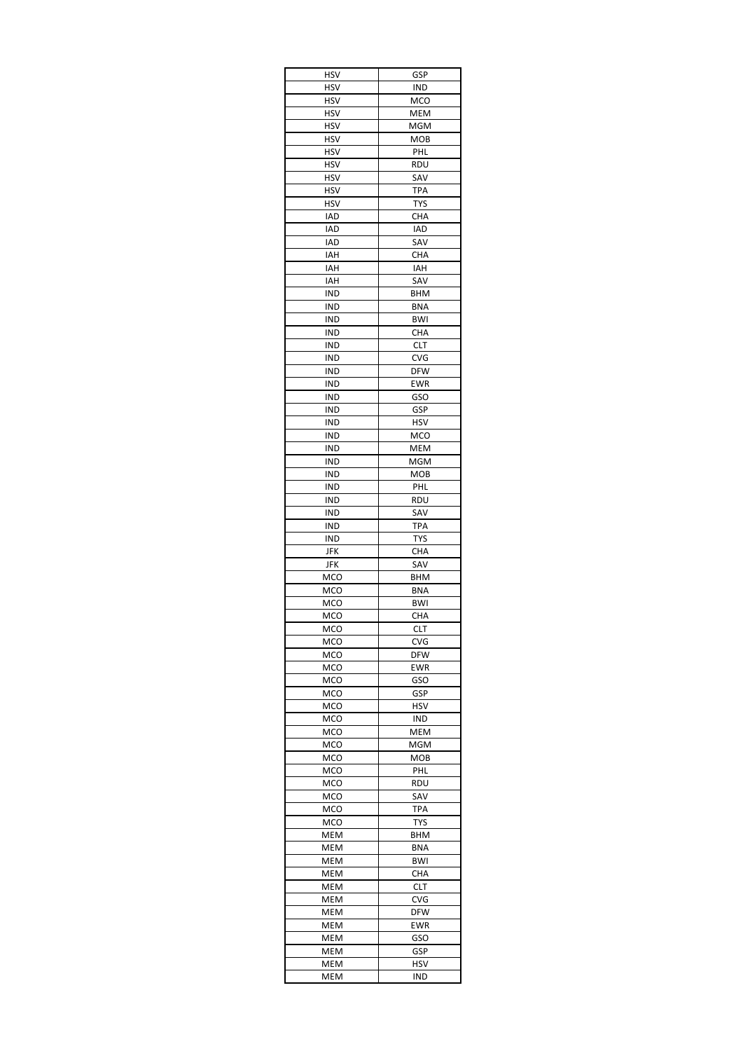| HSV               | GSP                      |
|-------------------|--------------------------|
| HSV               | IND                      |
| HSV               | <b>MCO</b>               |
| HSV               | MEM                      |
| HSV               | MGM                      |
| <b>HSV</b>        | MOB                      |
| HSV               | PHL                      |
| HSV               | RDU                      |
| HSV               | SAV                      |
| HSV               | TPA                      |
| <b>HSV</b>        | <b>TYS</b>               |
| IAD<br><b>IAD</b> | <b>CHA</b><br><b>IAD</b> |
| IAD               | SAV                      |
| IAH               | CHA                      |
| IAH               | IAH                      |
| IAH               | SAV                      |
| IND               | BHM                      |
| IND               | <b>BNA</b>               |
| IND               | <b>BWI</b>               |
| IND               | <b>CHA</b>               |
| IND               | CLT                      |
| IND               | <b>CVG</b>               |
| IND               | <b>DFW</b>               |
| IND               | <b>EWR</b>               |
| IND               | GSO                      |
| IND               | GSP                      |
| IND               | <b>HSV</b>               |
| IND               | MCO                      |
| IND               | MEM                      |
| IND               | MGM                      |
| IND               | MOB                      |
| IND               | PHL                      |
| IND               | rdu                      |
| IND<br>IND        | SAV<br>TPA               |
| IND               | <b>TYS</b>               |
| JFK               | CHA                      |
| JFK               | SAV                      |
| MCO               | BHM                      |
| MCO               | <b>BNA</b>               |
| MCO               | <b>BWI</b>               |
| MCO               | CHA                      |
| MCO               | <b>CLT</b>               |
| MCO               | CVG                      |
| MCO               | <b>DFW</b>               |
| MCO               | EWR                      |
| MCO               | <b>GSO</b>               |
| MCO               | GSP                      |
| MCO               | HSV                      |
| MCO               | IND                      |
| MCO               | MEM                      |
| MCO               | MGM                      |
| MCO               | MOB                      |
| MCO               | PHL                      |
| <b>MCO</b><br>MCO | <b>RDU</b><br>SAV        |
| MCO               | TPA                      |
| MCO               | <b>TYS</b>               |
| MEM               | BHM                      |
| MEM               | BNA                      |
|                   | BWI                      |
|                   |                          |
| MEM               |                          |
| MEM<br>MEM        | CHA<br><b>CLT</b>        |
| MEM               | CVG                      |
| MEM               | <b>DFW</b>               |
| MEM               | EWR                      |
| MEM               | GSO                      |
| MEM               | GSP                      |
| MEM               | HSV                      |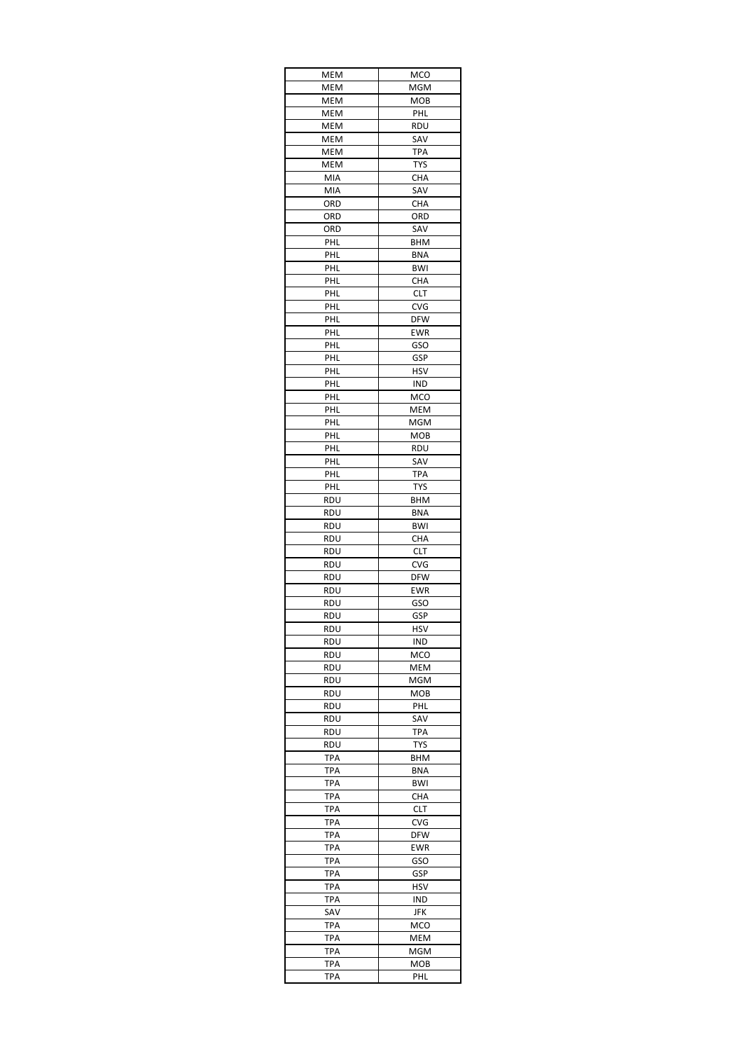| MEM        | MCO                      |
|------------|--------------------------|
| MEM        | MGM                      |
| MEM        | MOB                      |
| MEM        | PHL                      |
| MEM        | rdu                      |
| MEM        | SAV                      |
| MEM        | TPA                      |
| MEM        | <b>TYS</b>               |
| MIA<br>MIA | CHA<br>SAV               |
| ORD        | CHA                      |
| ORD        | ORD                      |
| ORD        | SAV                      |
| PHL        | BHM                      |
| PHL        | <b>BNA</b>               |
| PHL        | <b>BWI</b>               |
| PHL        | CHA                      |
| PHL        | <b>CLT</b>               |
| PHL        | <b>CVG</b>               |
| PHL        | <b>DFW</b>               |
| PHL        | <b>EWR</b>               |
| <b>PHL</b> | GSO                      |
| PHL        | GSP                      |
| PHL        | HSV                      |
| PHL        | IND                      |
| PHL<br>PHL | <b>MCO</b><br><b>MEM</b> |
| PHL        | MGM                      |
| <b>PHL</b> | MOB                      |
| PHL        | RDU                      |
| PHL        | SAV                      |
| PHL        | <b>TPA</b>               |
| PHL        | <b>TYS</b>               |
| RDU        | BHM                      |
| RDU        | <b>BNA</b>               |
| RDU        | <b>BWI</b>               |
| RDU        | <b>CHA</b>               |
| RDU        | <b>CLT</b>               |
| <b>RDU</b> | CVG                      |
| RDU        | <b>DFW</b>               |
| RDU        | <b>EWR</b>               |
| RDU        | GSO                      |
| RDU        | GSP                      |
| RDU        | <b>HSV</b>               |
| RDU        | IND                      |
| RDU        | <b>MCO</b>               |
| RDU        | MEM                      |
| RDU        | <b>MGM</b>               |
| <b>RDU</b> | MOB                      |
| RDU        | <b>PHL</b>               |
| RDU<br>RDU | SAV<br><b>TPA</b>        |
| RDU        | <b>TYS</b>               |
| TPA        | BHM                      |
| <b>TPA</b> | <b>BNA</b>               |
| <b>TPA</b> | BWI                      |
| TPA        | CHA                      |
| <b>TPA</b> | <b>CLT</b>               |
| TPA        | CVG                      |
| TPA        | DFW                      |
| TPA        | EWR                      |
| TPA        | GSO                      |
| TPA        | GSP                      |
| TPA        | HSV                      |
| <b>TPA</b> | IND                      |
| SAV        | JFK                      |
| <b>TPA</b> | MCO                      |
| TPA        | MEM                      |
| <b>TPA</b> | MGM                      |
| TPA        | MOB                      |
| TPA        | PHL                      |